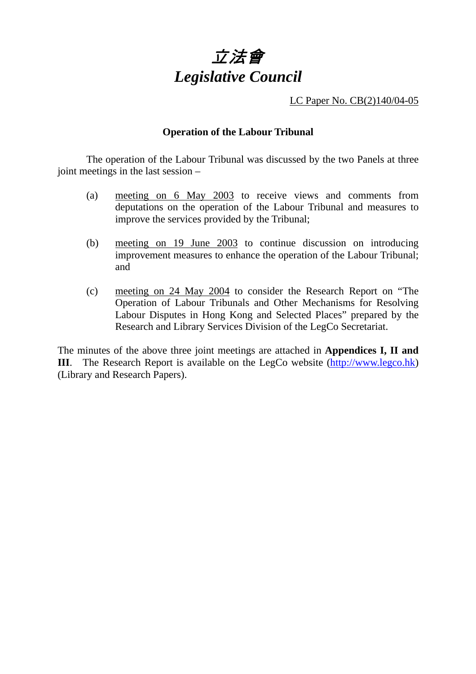

LC Paper No. CB(2)140/04-05

# **Operation of the Labour Tribunal**

 The operation of the Labour Tribunal was discussed by the two Panels at three joint meetings in the last session –

- (a) meeting on 6 May 2003 to receive views and comments from deputations on the operation of the Labour Tribunal and measures to improve the services provided by the Tribunal;
- (b) meeting on 19 June 2003 to continue discussion on introducing improvement measures to enhance the operation of the Labour Tribunal; and
- (c) meeting on 24 May 2004 to consider the Research Report on "The Operation of Labour Tribunals and Other Mechanisms for Resolving Labour Disputes in Hong Kong and Selected Places" prepared by the Research and Library Services Division of the LegCo Secretariat.

The minutes of the above three joint meetings are attached in **Appendices I, II and III**. The Research Report is available on the LegCo website (http://www.legco.hk) (Library and Research Papers).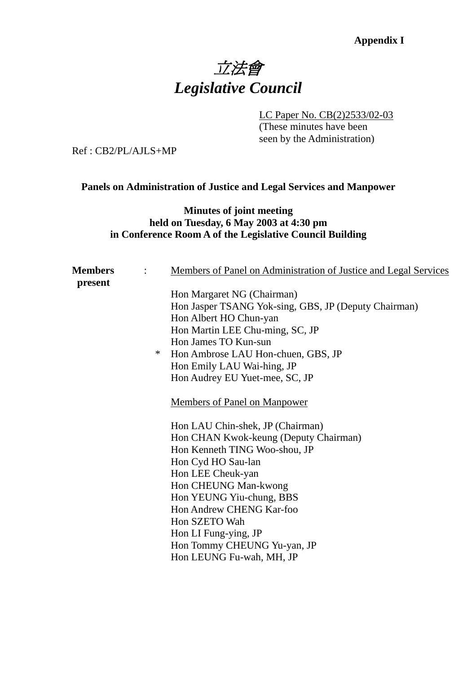# Appendix I<br>立法會 *Legislative Council*

LC Paper No. CB(2)2533/02-03

 (These minutes have been seen by the Administration)

Ref : CB2/PL/AJLS+MP

# **Panels on Administration of Justice and Legal Services and Manpower**

# **Minutes of joint meeting held on Tuesday, 6 May 2003 at 4:30 pm in Conference Room A of the Legislative Council Building**

| <b>Members</b> |   | Members of Panel on Administration of Justice and Legal Services |
|----------------|---|------------------------------------------------------------------|
| present        |   |                                                                  |
|                |   | Hon Margaret NG (Chairman)                                       |
|                |   | Hon Jasper TSANG Yok-sing, GBS, JP (Deputy Chairman)             |
|                |   | Hon Albert HO Chun-yan                                           |
|                |   | Hon Martin LEE Chu-ming, SC, JP                                  |
|                |   | Hon James TO Kun-sun                                             |
|                | ∗ | Hon Ambrose LAU Hon-chuen, GBS, JP                               |
|                |   | Hon Emily LAU Wai-hing, JP                                       |
|                |   | Hon Audrey EU Yuet-mee, SC, JP                                   |
|                |   | <b>Members of Panel on Manpower</b>                              |
|                |   | Hon LAU Chin-shek, JP (Chairman)                                 |
|                |   | Hon CHAN Kwok-keung (Deputy Chairman)                            |
|                |   | Hon Kenneth TING Woo-shou, JP                                    |
|                |   | Hon Cyd HO Sau-lan                                               |
|                |   | Hon LEE Cheuk-yan                                                |
|                |   | Hon CHEUNG Man-kwong                                             |
|                |   | Hon YEUNG Yiu-chung, BBS                                         |
|                |   | Hon Andrew CHENG Kar-foo                                         |
|                |   | Hon SZETO Wah                                                    |
|                |   | Hon LI Fung-ying, JP                                             |
|                |   | Hon Tommy CHEUNG Yu-yan, JP                                      |
|                |   |                                                                  |
|                |   | Hon LEUNG Fu-wah, MH, JP                                         |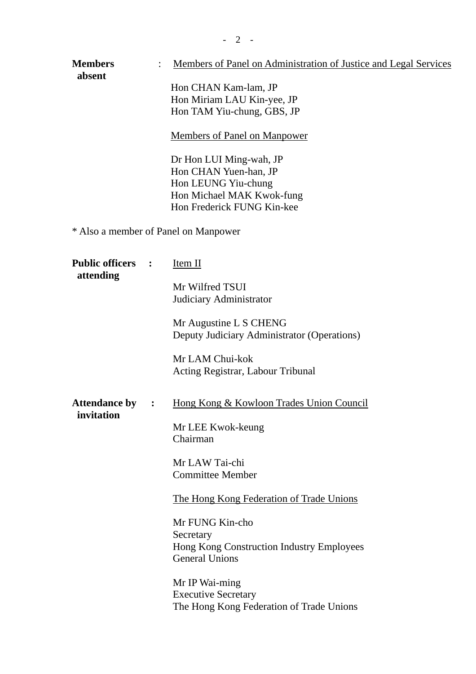| <b>Members</b><br>absent            |                      | Members of Panel on Administration of Justice and Legal Services<br>Hon CHAN Kam-lam, JP<br>Hon Miriam LAU Kin-yee, JP<br>Hon TAM Yiu-chung, GBS, JP<br><b>Members of Panel on Manpower</b><br>Dr Hon LUI Ming-wah, JP<br>Hon CHAN Yuen-han, JP<br>Hon LEUNG Yiu-chung<br>Hon Michael MAK Kwok-fung<br>Hon Frederick FUNG Kin-kee                                    |  |  |  |
|-------------------------------------|----------------------|----------------------------------------------------------------------------------------------------------------------------------------------------------------------------------------------------------------------------------------------------------------------------------------------------------------------------------------------------------------------|--|--|--|
|                                     |                      | * Also a member of Panel on Manpower                                                                                                                                                                                                                                                                                                                                 |  |  |  |
| <b>Public officers</b><br>attending | $\ddot{\phantom{1}}$ | Item II<br>Mr Wilfred TSUI<br>Judiciary Administrator<br>Mr Augustine L S CHENG<br>Deputy Judiciary Administrator (Operations)<br>Mr LAM Chui-kok<br>Acting Registrar, Labour Tribunal                                                                                                                                                                               |  |  |  |
| <b>Attendance by</b><br>invitation  |                      | Hong Kong & Kowloon Trades Union Council<br>Mr LEE Kwok-keung<br>Chairman<br>Mr LAW Tai-chi<br><b>Committee Member</b><br>The Hong Kong Federation of Trade Unions<br>Mr FUNG Kin-cho<br>Secretary<br>Hong Kong Construction Industry Employees<br><b>General Unions</b><br>Mr IP Wai-ming<br><b>Executive Secretary</b><br>The Hong Kong Federation of Trade Unions |  |  |  |

 $- 2 -$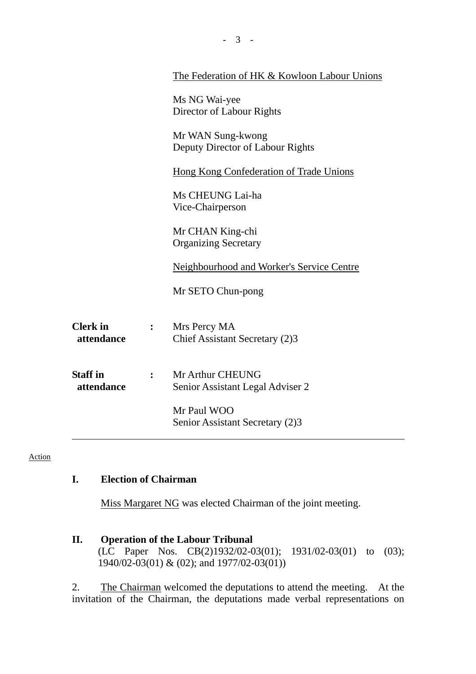|                 |                | The Federation of HK & Kowloon Labour Unions |
|-----------------|----------------|----------------------------------------------|
|                 |                | Ms NG Wai-yee                                |
|                 |                | Director of Labour Rights                    |
|                 |                | Mr WAN Sung-kwong                            |
|                 |                | Deputy Director of Labour Rights             |
|                 |                | Hong Kong Confederation of Trade Unions      |
|                 |                | Ms CHEUNG Lai-ha                             |
|                 |                | Vice-Chairperson                             |
|                 |                | Mr CHAN King-chi                             |
|                 |                | <b>Organizing Secretary</b>                  |
|                 |                | Neighbourhood and Worker's Service Centre    |
|                 |                | Mr SETO Chun-pong                            |
| <b>Clerk</b> in | $\ddot{\cdot}$ | Mrs Percy MA                                 |
| attendance      |                | Chief Assistant Secretary (2)3               |
| <b>Staff</b> in | $\ddot{\cdot}$ | Mr Arthur CHEUNG                             |
| attendance      |                | Senior Assistant Legal Adviser 2             |
|                 |                | Mr Paul WOO                                  |
|                 |                | Senior Assistant Secretary (2)3              |

Action

# **I. Election of Chairman**

Miss Margaret NG was elected Chairman of the joint meeting.

# **II. Operation of the Labour Tribunal**

(LC Paper Nos. CB(2)1932/02-03(01); 1931/02-03(01) to (03); 1940/02-03(01) & (02); and 1977/02-03(01))

2. The Chairman welcomed the deputations to attend the meeting. At the invitation of the Chairman, the deputations made verbal representations on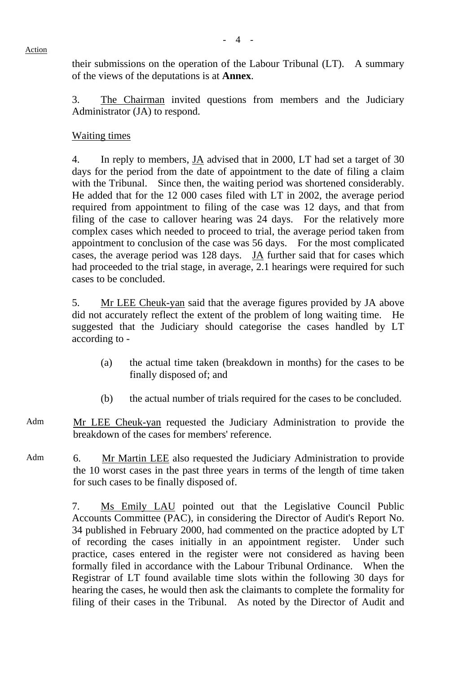their submissions on the operation of the Labour Tribunal (LT). A summary of the views of the deputations is at **Annex**.

3. The Chairman invited questions from members and the Judiciary Administrator (JA) to respond.

# Waiting times

4. In reply to members, JA advised that in 2000, LT had set a target of 30 days for the period from the date of appointment to the date of filing a claim with the Tribunal. Since then, the waiting period was shortened considerably. He added that for the 12 000 cases filed with LT in 2002, the average period required from appointment to filing of the case was 12 days, and that from filing of the case to callover hearing was 24 days. For the relatively more complex cases which needed to proceed to trial, the average period taken from appointment to conclusion of the case was 56 days. For the most complicated cases, the average period was 128 days. JA further said that for cases which had proceeded to the trial stage, in average, 2.1 hearings were required for such cases to be concluded.

5. Mr LEE Cheuk-yan said that the average figures provided by JA above did not accurately reflect the extent of the problem of long waiting time. He suggested that the Judiciary should categorise the cases handled by LT according to -

- (a) the actual time taken (breakdown in months) for the cases to be finally disposed of; and
- (b) the actual number of trials required for the cases to be concluded.
- Adm Mr LEE Cheuk-yan requested the Judiciary Administration to provide the breakdown of the cases for members' reference.
- Adm 6. Mr Martin LEE also requested the Judiciary Administration to provide the 10 worst cases in the past three years in terms of the length of time taken for such cases to be finally disposed of.

7. Ms Emily LAU pointed out that the Legislative Council Public Accounts Committee (PAC), in considering the Director of Audit's Report No. 34 published in February 2000, had commented on the practice adopted by LT of recording the cases initially in an appointment register. Under such practice, cases entered in the register were not considered as having been formally filed in accordance with the Labour Tribunal Ordinance. When the Registrar of LT found available time slots within the following 30 days for hearing the cases, he would then ask the claimants to complete the formality for filing of their cases in the Tribunal. As noted by the Director of Audit and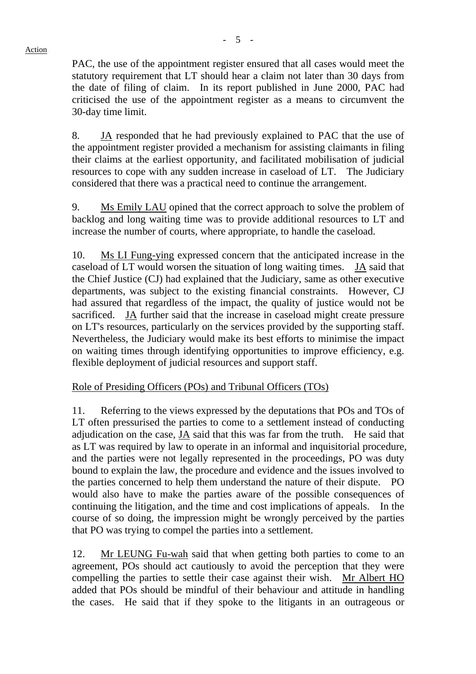PAC, the use of the appointment register ensured that all cases would meet the statutory requirement that LT should hear a claim not later than 30 days from the date of filing of claim. In its report published in June 2000, PAC had criticised the use of the appointment register as a means to circumvent the 30-day time limit.

8. JA responded that he had previously explained to PAC that the use of the appointment register provided a mechanism for assisting claimants in filing their claims at the earliest opportunity, and facilitated mobilisation of judicial resources to cope with any sudden increase in caseload of LT. The Judiciary considered that there was a practical need to continue the arrangement.

9. Ms Emily LAU opined that the correct approach to solve the problem of backlog and long waiting time was to provide additional resources to LT and increase the number of courts, where appropriate, to handle the caseload.

10. Ms LI Fung-ying expressed concern that the anticipated increase in the caseload of LT would worsen the situation of long waiting times. JA said that the Chief Justice (CJ) had explained that the Judiciary, same as other executive departments, was subject to the existing financial constraints. However, CJ had assured that regardless of the impact, the quality of justice would not be sacrificed. JA further said that the increase in caseload might create pressure on LT's resources, particularly on the services provided by the supporting staff. Nevertheless, the Judiciary would make its best efforts to minimise the impact on waiting times through identifying opportunities to improve efficiency, e.g. flexible deployment of judicial resources and support staff.

Role of Presiding Officers (POs) and Tribunal Officers (TOs)

11. Referring to the views expressed by the deputations that POs and TOs of LT often pressurised the parties to come to a settlement instead of conducting adjudication on the case, JA said that this was far from the truth. He said that as LT was required by law to operate in an informal and inquisitorial procedure, and the parties were not legally represented in the proceedings, PO was duty bound to explain the law, the procedure and evidence and the issues involved to the parties concerned to help them understand the nature of their dispute. PO would also have to make the parties aware of the possible consequences of continuing the litigation, and the time and cost implications of appeals. In the course of so doing, the impression might be wrongly perceived by the parties that PO was trying to compel the parties into a settlement.

12. Mr LEUNG Fu-wah said that when getting both parties to come to an agreement, POs should act cautiously to avoid the perception that they were compelling the parties to settle their case against their wish. Mr Albert HO added that POs should be mindful of their behaviour and attitude in handling the cases. He said that if they spoke to the litigants in an outrageous or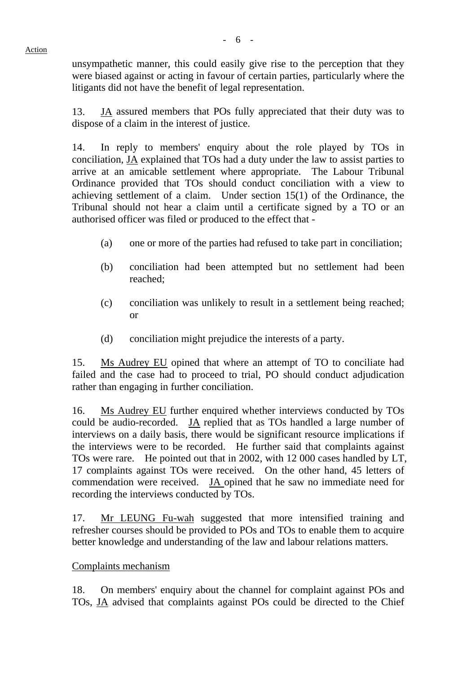unsympathetic manner, this could easily give rise to the perception that they were biased against or acting in favour of certain parties, particularly where the litigants did not have the benefit of legal representation.

13. JA assured members that POs fully appreciated that their duty was to dispose of a claim in the interest of justice.

14. In reply to members' enquiry about the role played by TOs in conciliation, JA explained that TOs had a duty under the law to assist parties to arrive at an amicable settlement where appropriate. The Labour Tribunal Ordinance provided that TOs should conduct conciliation with a view to achieving settlement of a claim. Under section 15(1) of the Ordinance, the Tribunal should not hear a claim until a certificate signed by a TO or an authorised officer was filed or produced to the effect that -

- (a) one or more of the parties had refused to take part in conciliation;
- (b) conciliation had been attempted but no settlement had been reached;
- (c) conciliation was unlikely to result in a settlement being reached; or
- (d) conciliation might prejudice the interests of a party.

15. Ms Audrey EU opined that where an attempt of TO to conciliate had failed and the case had to proceed to trial, PO should conduct adjudication rather than engaging in further conciliation.

16. Ms Audrey EU further enquired whether interviews conducted by TOs could be audio-recorded. JA replied that as TOs handled a large number of interviews on a daily basis, there would be significant resource implications if the interviews were to be recorded. He further said that complaints against TOs were rare. He pointed out that in 2002, with 12 000 cases handled by LT, 17 complaints against TOs were received. On the other hand, 45 letters of commendation were received. JA opined that he saw no immediate need for recording the interviews conducted by TOs.

17. Mr LEUNG Fu-wah suggested that more intensified training and refresher courses should be provided to POs and TOs to enable them to acquire better knowledge and understanding of the law and labour relations matters.

# Complaints mechanism

18. On members' enquiry about the channel for complaint against POs and TOs, JA advised that complaints against POs could be directed to the Chief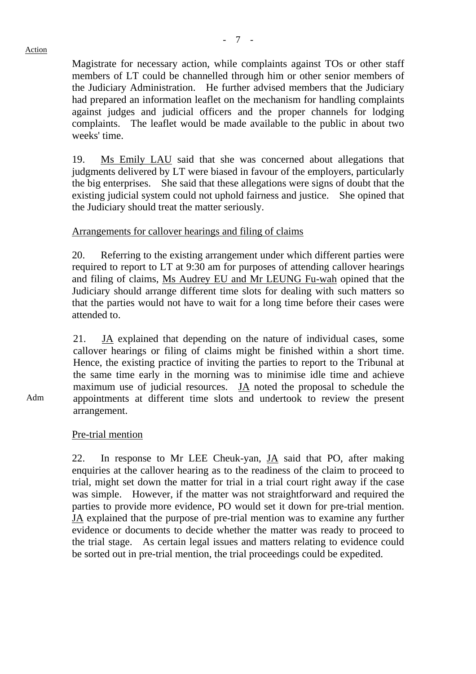Magistrate for necessary action, while complaints against TOs or other staff members of LT could be channelled through him or other senior members of the Judiciary Administration. He further advised members that the Judiciary had prepared an information leaflet on the mechanism for handling complaints against judges and judicial officers and the proper channels for lodging complaints. The leaflet would be made available to the public in about two weeks' time.

19. Ms Emily LAU said that she was concerned about allegations that judgments delivered by LT were biased in favour of the employers, particularly the big enterprises. She said that these allegations were signs of doubt that the existing judicial system could not uphold fairness and justice. She opined that the Judiciary should treat the matter seriously.

# Arrangements for callover hearings and filing of claims

20. Referring to the existing arrangement under which different parties were required to report to LT at 9:30 am for purposes of attending callover hearings and filing of claims, Ms Audrey EU and Mr LEUNG Fu-wah opined that the Judiciary should arrange different time slots for dealing with such matters so that the parties would not have to wait for a long time before their cases were attended to.

21. JA explained that depending on the nature of individual cases, some callover hearings or filing of claims might be finished within a short time. Hence, the existing practice of inviting the parties to report to the Tribunal at the same time early in the morning was to minimise idle time and achieve maximum use of judicial resources. JA noted the proposal to schedule the appointments at different time slots and undertook to review the present arrangement.

# Pre-trial mention

22. In response to Mr LEE Cheuk-yan,  $J\overline{A}$  said that PO, after making enquiries at the callover hearing as to the readiness of the claim to proceed to trial, might set down the matter for trial in a trial court right away if the case was simple. However, if the matter was not straightforward and required the parties to provide more evidence, PO would set it down for pre-trial mention. JA explained that the purpose of pre-trial mention was to examine any further evidence or documents to decide whether the matter was ready to proceed to the trial stage. As certain legal issues and matters relating to evidence could be sorted out in pre-trial mention, the trial proceedings could be expedited.

Adm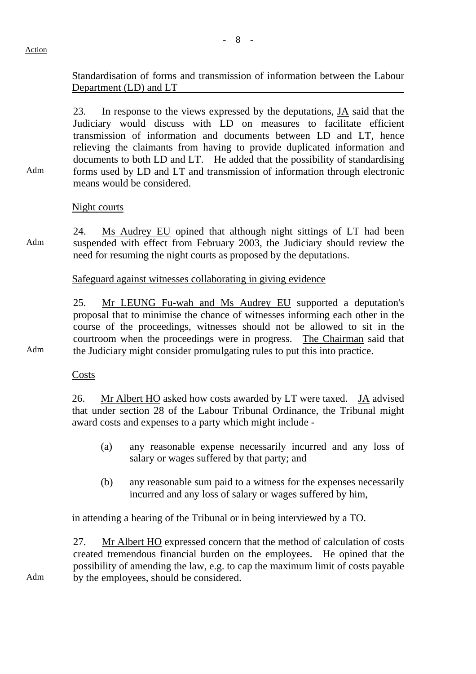Adm

Standardisation of forms and transmission of information between the Labour Department (LD) and LT

23. In response to the views expressed by the deputations, JA said that the Judiciary would discuss with LD on measures to facilitate efficient transmission of information and documents between LD and LT, hence relieving the claimants from having to provide duplicated information and documents to both LD and LT. He added that the possibility of standardising forms used by LD and LT and transmission of information through electronic means would be considered.

Night courts

Adm 24. Ms Audrey EU opined that although night sittings of LT had been suspended with effect from February 2003, the Judiciary should review the need for resuming the night courts as proposed by the deputations.

Safeguard against witnesses collaborating in giving evidence

25. Mr LEUNG Fu-wah and Ms Audrey EU supported a deputation's proposal that to minimise the chance of witnesses informing each other in the course of the proceedings, witnesses should not be allowed to sit in the courtroom when the proceedings were in progress. The Chairman said that the Judiciary might consider promulgating rules to put this into practice.

Adm

Costs

26. Mr Albert HO asked how costs awarded by LT were taxed. JA advised that under section 28 of the Labour Tribunal Ordinance, the Tribunal might award costs and expenses to a party which might include -

- (a) any reasonable expense necessarily incurred and any loss of salary or wages suffered by that party; and
- (b) any reasonable sum paid to a witness for the expenses necessarily incurred and any loss of salary or wages suffered by him,

in attending a hearing of the Tribunal or in being interviewed by a TO.

27. Mr Albert HO expressed concern that the method of calculation of costs created tremendous financial burden on the employees. He opined that the possibility of amending the law, e.g. to cap the maximum limit of costs payable by the employees, should be considered.

Adm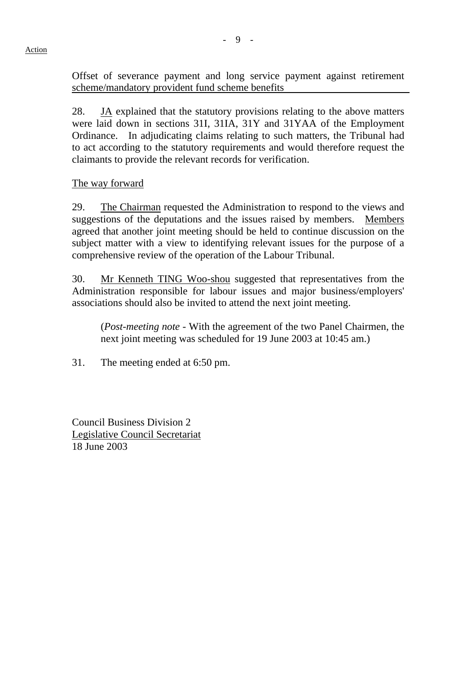Offset of severance payment and long service payment against retirement scheme/mandatory provident fund scheme benefits

28.  $J\Delta$  explained that the statutory provisions relating to the above matters were laid down in sections 31I, 31IA, 31Y and 31YAA of the Employment Ordinance. In adjudicating claims relating to such matters, the Tribunal had to act according to the statutory requirements and would therefore request the claimants to provide the relevant records for verification.

#### The way forward

29. The Chairman requested the Administration to respond to the views and suggestions of the deputations and the issues raised by members. Members agreed that another joint meeting should be held to continue discussion on the subject matter with a view to identifying relevant issues for the purpose of a comprehensive review of the operation of the Labour Tribunal.

30. Mr Kenneth TING Woo-shou suggested that representatives from the Administration responsible for labour issues and major business/employers' associations should also be invited to attend the next joint meeting.

 (*Post-meeting note* - With the agreement of the two Panel Chairmen, the next joint meeting was scheduled for 19 June 2003 at 10:45 am.)

31. The meeting ended at 6:50 pm.

Council Business Division 2 Legislative Council Secretariat 18 June 2003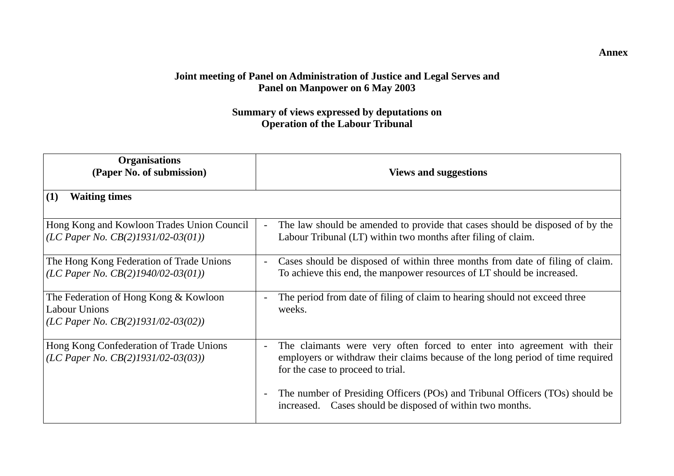# **Joint meeting of Panel on Administration of Justice and Legal Serves and Panel on Manpower on 6 May 2003**

# **Summary of views expressed by deputations on Operation of the Labour Tribunal**

| <b>Organisations</b><br>(Paper No. of submission)                                                      | <b>Views and suggestions</b>                                                                                                                                                                   |
|--------------------------------------------------------------------------------------------------------|------------------------------------------------------------------------------------------------------------------------------------------------------------------------------------------------|
| <b>Waiting times</b><br>(1)                                                                            |                                                                                                                                                                                                |
| Hong Kong and Kowloon Trades Union Council<br>(LC Paper No. $CB(2)1931/02-03(01)$ )                    | The law should be amended to provide that cases should be disposed of by the<br>Labour Tribunal (LT) within two months after filing of claim.                                                  |
| The Hong Kong Federation of Trade Unions<br>(LC Paper No. $CB(2)1940/02-03(01)$ )                      | Cases should be disposed of within three months from date of filing of claim.<br>$\overline{\phantom{a}}$<br>To achieve this end, the manpower resources of LT should be increased.            |
| The Federation of Hong Kong & Kowloon<br><b>Labour Unions</b><br>(LC Paper No. $CB(2)1931/02-03(02)$ ) | The period from date of filing of claim to hearing should not exceed three<br>weeks.                                                                                                           |
| Hong Kong Confederation of Trade Unions<br>(LC Paper No. $CB(2)1931/02-03(03)$ )                       | The claimants were very often forced to enter into agreement with their<br>employers or withdraw their claims because of the long period of time required<br>for the case to proceed to trial. |
|                                                                                                        | The number of Presiding Officers (POs) and Tribunal Officers (TOs) should be<br>increased. Cases should be disposed of within two months.                                                      |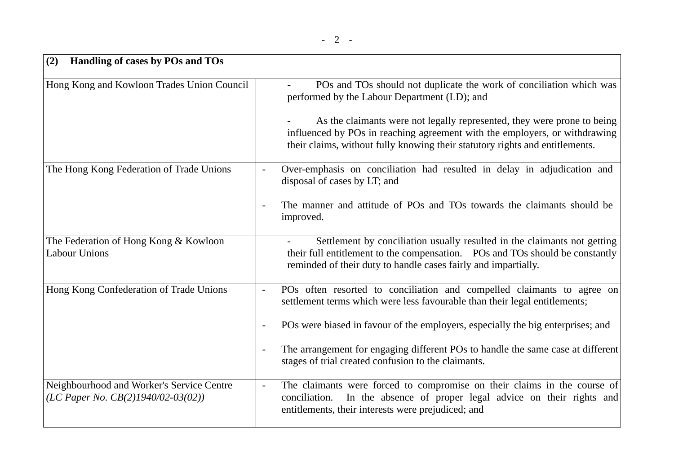| (2)<br>Handling of cases by POs and TOs                                            |                                                                                                                                                                                                                                                                                                                                                                                                                                                                       |  |  |  |
|------------------------------------------------------------------------------------|-----------------------------------------------------------------------------------------------------------------------------------------------------------------------------------------------------------------------------------------------------------------------------------------------------------------------------------------------------------------------------------------------------------------------------------------------------------------------|--|--|--|
| Hong Kong and Kowloon Trades Union Council                                         | POs and TOs should not duplicate the work of conciliation which was<br>performed by the Labour Department (LD); and<br>As the claimants were not legally represented, they were prone to being<br>influenced by POs in reaching agreement with the employers, or withdrawing<br>their claims, without fully knowing their statutory rights and entitlements.                                                                                                          |  |  |  |
| The Hong Kong Federation of Trade Unions                                           | Over-emphasis on conciliation had resulted in delay in adjudication and<br>$\overline{\phantom{a}}$<br>disposal of cases by LT; and<br>The manner and attitude of POs and TOs towards the claimants should be<br>improved.                                                                                                                                                                                                                                            |  |  |  |
| The Federation of Hong Kong & Kowloon<br><b>Labour Unions</b>                      | Settlement by conciliation usually resulted in the claimants not getting<br>their full entitlement to the compensation. POs and TOs should be constantly<br>reminded of their duty to handle cases fairly and impartially.                                                                                                                                                                                                                                            |  |  |  |
| Hong Kong Confederation of Trade Unions                                            | POs often resorted to conciliation and compelled claimants to agree on<br>$\overline{\phantom{a}}$<br>settlement terms which were less favourable than their legal entitlements;<br>POs were biased in favour of the employers, especially the big enterprises; and<br>$\overline{\phantom{a}}$<br>The arrangement for engaging different POs to handle the same case at different<br>$\overline{\phantom{a}}$<br>stages of trial created confusion to the claimants. |  |  |  |
| Neighbourhood and Worker's Service Centre<br>(LC Paper No. $CB(2)1940/02-03(02)$ ) | The claimants were forced to compromise on their claims in the course of<br>$\blacksquare$<br>conciliation. In the absence of proper legal advice on their rights and<br>entitlements, their interests were prejudiced; and                                                                                                                                                                                                                                           |  |  |  |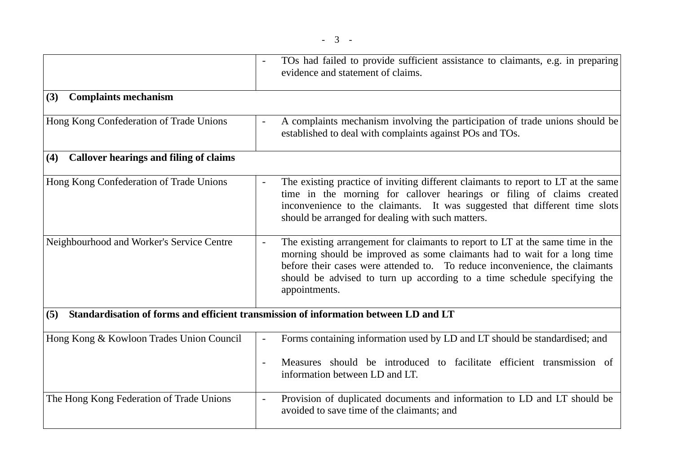|                                                      | TOs had failed to provide sufficient assistance to claimants, e.g. in preparing<br>evidence and statement of claims.                                                                                                                                                                                                                                     |
|------------------------------------------------------|----------------------------------------------------------------------------------------------------------------------------------------------------------------------------------------------------------------------------------------------------------------------------------------------------------------------------------------------------------|
| <b>Complaints mechanism</b><br>(3)                   |                                                                                                                                                                                                                                                                                                                                                          |
| Hong Kong Confederation of Trade Unions              | A complaints mechanism involving the participation of trade unions should be<br>established to deal with complaints against POs and TOs.                                                                                                                                                                                                                 |
| <b>Callover hearings and filing of claims</b><br>(4) |                                                                                                                                                                                                                                                                                                                                                          |
| Hong Kong Confederation of Trade Unions              | The existing practice of inviting different claimants to report to LT at the same<br>time in the morning for callover hearings or filing of claims created<br>inconvenience to the claimants. It was suggested that different time slots<br>should be arranged for dealing with such matters.                                                            |
| Neighbourhood and Worker's Service Centre            | The existing arrangement for claimants to report to LT at the same time in the<br>$\blacksquare$<br>morning should be improved as some claimants had to wait for a long time<br>before their cases were attended to. To reduce inconvenience, the claimants<br>should be advised to turn up according to a time schedule specifying the<br>appointments. |
| (5)                                                  | Standardisation of forms and efficient transmission of information between LD and LT                                                                                                                                                                                                                                                                     |
| Hong Kong & Kowloon Trades Union Council             | Forms containing information used by LD and LT should be standardised; and<br>$\overline{\phantom{a}}$                                                                                                                                                                                                                                                   |
|                                                      | Measures should be introduced to facilitate efficient transmission of<br>information between LD and LT.                                                                                                                                                                                                                                                  |
| The Hong Kong Federation of Trade Unions             | Provision of duplicated documents and information to LD and LT should be<br>$\blacksquare$<br>avoided to save time of the claimants; and                                                                                                                                                                                                                 |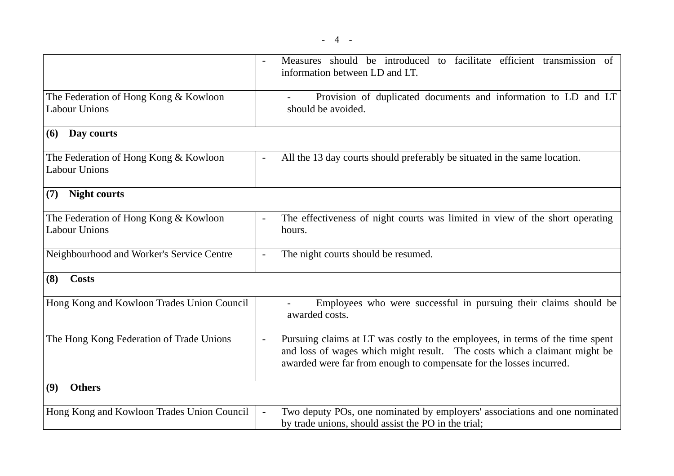|                                                               | Measures should be introduced to facilitate efficient transmission of<br>information between LD and LT.                                                                                                                                                       |
|---------------------------------------------------------------|---------------------------------------------------------------------------------------------------------------------------------------------------------------------------------------------------------------------------------------------------------------|
| The Federation of Hong Kong & Kowloon<br><b>Labour Unions</b> | Provision of duplicated documents and information to LD and LT<br>should be avoided.                                                                                                                                                                          |
| Day courts<br>(6)                                             |                                                                                                                                                                                                                                                               |
| The Federation of Hong Kong & Kowloon<br><b>Labour Unions</b> | All the 13 day courts should preferably be situated in the same location.<br>$\overline{\phantom{a}}$                                                                                                                                                         |
| (7)<br><b>Night courts</b>                                    |                                                                                                                                                                                                                                                               |
| The Federation of Hong Kong & Kowloon<br><b>Labour Unions</b> | The effectiveness of night courts was limited in view of the short operating<br>hours.                                                                                                                                                                        |
| Neighbourhood and Worker's Service Centre                     | The night courts should be resumed.<br>$\blacksquare$                                                                                                                                                                                                         |
| (8)<br>Costs                                                  |                                                                                                                                                                                                                                                               |
| Hong Kong and Kowloon Trades Union Council                    | Employees who were successful in pursuing their claims should be<br>awarded costs.                                                                                                                                                                            |
| The Hong Kong Federation of Trade Unions                      | Pursuing claims at LT was costly to the employees, in terms of the time spent<br>$\overline{\phantom{a}}$<br>and loss of wages which might result. The costs which a claimant might be<br>awarded were far from enough to compensate for the losses incurred. |
| <b>Others</b><br>(9)                                          |                                                                                                                                                                                                                                                               |
| Hong Kong and Kowloon Trades Union Council                    | Two deputy POs, one nominated by employers' associations and one nominated<br>$\blacksquare$<br>by trade unions, should assist the PO in the trial;                                                                                                           |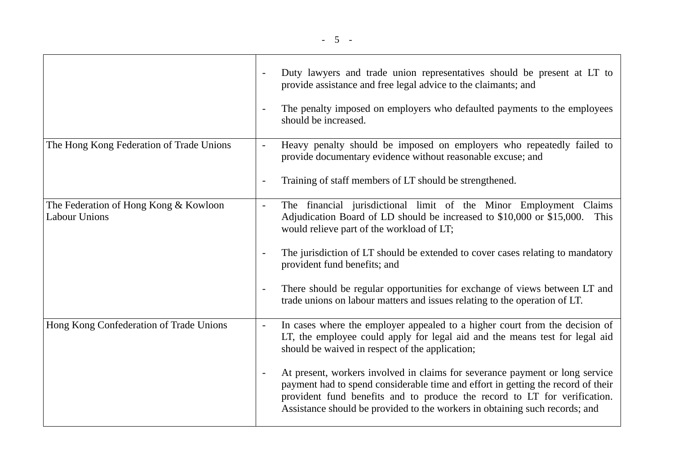|                                                               | Duty lawyers and trade union representatives should be present at LT to<br>provide assistance and free legal advice to the claimants; and<br>The penalty imposed on employers who defaulted payments to the employees<br>should be increased.                                                                                                                                                                                                                                                                                                                                               |
|---------------------------------------------------------------|---------------------------------------------------------------------------------------------------------------------------------------------------------------------------------------------------------------------------------------------------------------------------------------------------------------------------------------------------------------------------------------------------------------------------------------------------------------------------------------------------------------------------------------------------------------------------------------------|
| The Hong Kong Federation of Trade Unions                      | Heavy penalty should be imposed on employers who repeatedly failed to<br>$\blacksquare$<br>provide documentary evidence without reasonable excuse; and<br>Training of staff members of LT should be strengthened.<br>$\qquad \qquad \blacksquare$                                                                                                                                                                                                                                                                                                                                           |
| The Federation of Hong Kong & Kowloon<br><b>Labour Unions</b> | The financial jurisdictional limit of the Minor Employment<br>Claims<br>$\blacksquare$<br>Adjudication Board of LD should be increased to \$10,000 or \$15,000.<br>This<br>would relieve part of the workload of LT;<br>The jurisdiction of LT should be extended to cover cases relating to mandatory<br>$\overline{\phantom{a}}$<br>provident fund benefits; and<br>There should be regular opportunities for exchange of views between LT and<br>$\overline{\phantom{a}}$<br>trade unions on labour matters and issues relating to the operation of LT.                                  |
| Hong Kong Confederation of Trade Unions                       | In cases where the employer appealed to a higher court from the decision of<br>$\blacksquare$<br>LT, the employee could apply for legal aid and the means test for legal aid<br>should be waived in respect of the application;<br>At present, workers involved in claims for severance payment or long service<br>$\overline{\phantom{a}}$<br>payment had to spend considerable time and effort in getting the record of their<br>provident fund benefits and to produce the record to LT for verification.<br>Assistance should be provided to the workers in obtaining such records; and |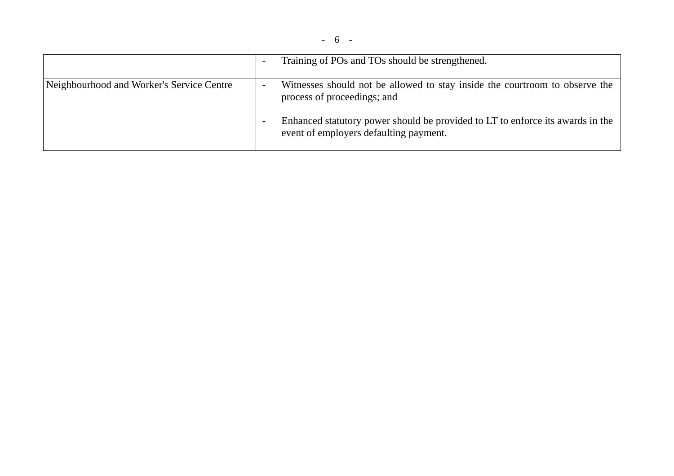|                                           | $\overline{\phantom{0}}$ | Training of POs and TOs should be strengthened.                                                                          |
|-------------------------------------------|--------------------------|--------------------------------------------------------------------------------------------------------------------------|
| Neighbourhood and Worker's Service Centre | $\overline{\phantom{a}}$ | Witnesses should not be allowed to stay inside the courtroom to observe the<br>process of proceedings; and               |
|                                           |                          | Enhanced statutory power should be provided to LT to enforce its awards in the<br>event of employers defaulting payment. |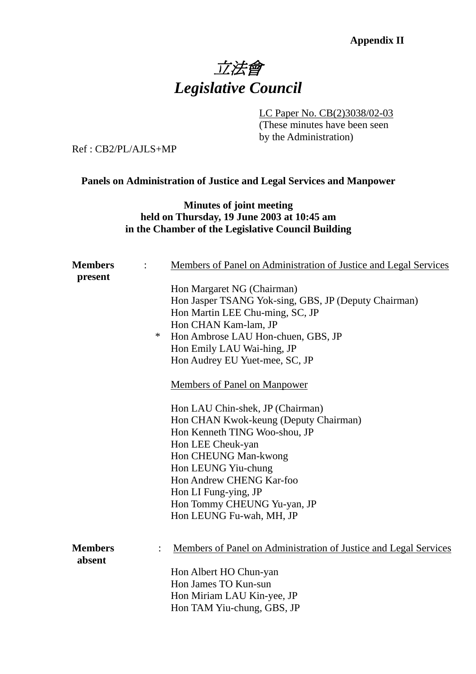# **Appendix II** 立法會 *Legislative Council*

LC Paper No. CB(2)3038/02-03

 (These minutes have been seen by the Administration)

Ref : CB2/PL/AJLS+MP

# **Panels on Administration of Justice and Legal Services and Manpower**

**Minutes of joint meeting held on Thursday, 19 June 2003 at 10:45 am in the Chamber of the Legislative Council Building** 

| <b>Members</b>           |   | Members of Panel on Administration of Justice and Legal Services |
|--------------------------|---|------------------------------------------------------------------|
| present                  |   |                                                                  |
|                          |   | Hon Margaret NG (Chairman)                                       |
|                          |   | Hon Jasper TSANG Yok-sing, GBS, JP (Deputy Chairman)             |
|                          |   | Hon Martin LEE Chu-ming, SC, JP                                  |
|                          |   | Hon CHAN Kam-lam, JP                                             |
|                          | ∗ | Hon Ambrose LAU Hon-chuen, GBS, JP                               |
|                          |   | Hon Emily LAU Wai-hing, JP                                       |
|                          |   | Hon Audrey EU Yuet-mee, SC, JP                                   |
|                          |   | Members of Panel on Manpower                                     |
|                          |   | Hon LAU Chin-shek, JP (Chairman)                                 |
|                          |   | Hon CHAN Kwok-keung (Deputy Chairman)                            |
|                          |   | Hon Kenneth TING Woo-shou, JP                                    |
|                          |   | Hon LEE Cheuk-yan                                                |
|                          |   | Hon CHEUNG Man-kwong                                             |
|                          |   | Hon LEUNG Yiu-chung                                              |
|                          |   | Hon Andrew CHENG Kar-foo                                         |
|                          |   | Hon LI Fung-ying, JP                                             |
|                          |   | Hon Tommy CHEUNG Yu-yan, JP                                      |
|                          |   | Hon LEUNG Fu-wah, MH, JP                                         |
| <b>Members</b><br>absent |   | Members of Panel on Administration of Justice and Legal Services |
|                          |   | Hon Albert HO Chun-yan                                           |
|                          |   | Hon James TO Kun-sun                                             |
|                          |   | Hon Miriam LAU Kin-yee, JP                                       |
|                          |   | Hon TAM Yiu-chung, GBS, JP                                       |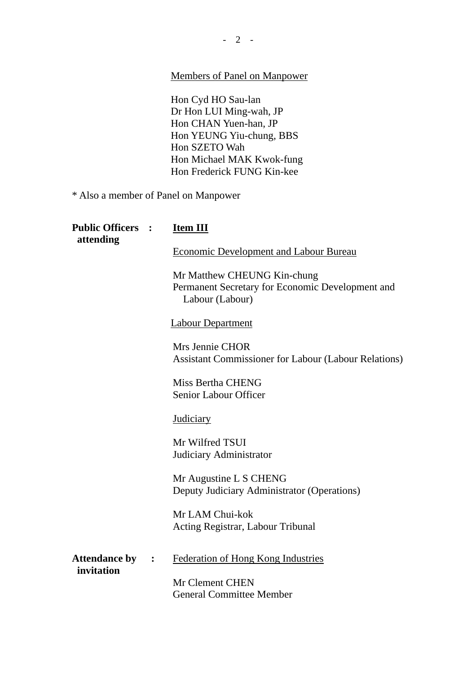# Members of Panel on Manpower

Hon Cyd HO Sau-lan Dr Hon LUI Ming-wah, JP Hon CHAN Yuen-han, JP Hon YEUNG Yiu-chung, BBS Hon SZETO Wah Hon Michael MAK Kwok-fung Hon Frederick FUNG Kin-kee

\* Also a member of Panel on Manpower

| <b>Public Officers :</b><br>attending |                      | <b>Item III</b>                                                                                    |
|---------------------------------------|----------------------|----------------------------------------------------------------------------------------------------|
|                                       |                      | <b>Economic Development and Labour Bureau</b>                                                      |
|                                       |                      | Mr Matthew CHEUNG Kin-chung<br>Permanent Secretary for Economic Development and<br>Labour (Labour) |
|                                       |                      | <b>Labour Department</b>                                                                           |
|                                       |                      | Mrs Jennie CHOR<br><b>Assistant Commissioner for Labour (Labour Relations)</b>                     |
|                                       |                      | Miss Bertha CHENG<br>Senior Labour Officer                                                         |
|                                       |                      | Judiciary                                                                                          |
|                                       |                      | Mr Wilfred TSUI<br>Judiciary Administrator                                                         |
|                                       |                      | Mr Augustine L S CHENG<br>Deputy Judiciary Administrator (Operations)                              |
|                                       |                      | Mr LAM Chui-kok<br>Acting Registrar, Labour Tribunal                                               |
| <b>Attendance by</b><br>invitation    | $\ddot{\phantom{1}}$ | Federation of Hong Kong Industries                                                                 |
|                                       |                      | Mr Clement CHEN<br><b>General Committee Member</b>                                                 |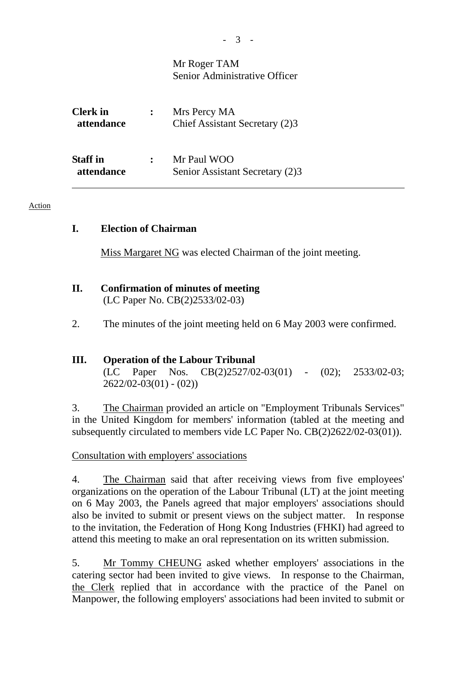# Mr Roger TAM Senior Administrative Officer

| <b>Clerk</b> in<br>attendance | Mrs Percy MA<br>Chief Assistant Secretary (2)3 |
|-------------------------------|------------------------------------------------|
| <b>Staff</b> in<br>attendance | Mr Paul WOO<br>Senior Assistant Secretary (2)3 |

#### Action

### **I. Election of Chairman**

Miss Margaret NG was elected Chairman of the joint meeting.

### **II. Confirmation of minutes of meeting**  (LC Paper No. CB(2)2533/02-03)

2. The minutes of the joint meeting held on 6 May 2003 were confirmed.

### **III. Operation of the Labour Tribunal**

(LC Paper Nos. CB(2)2527/02-03(01) - (02); 2533/02-03;  $2622/02-03(01) - (02)$ 

3. The Chairman provided an article on "Employment Tribunals Services" in the United Kingdom for members' information (tabled at the meeting and subsequently circulated to members vide LC Paper No. CB(2)2622/02-03(01)).

#### Consultation with employers' associations

4. The Chairman said that after receiving views from five employees' organizations on the operation of the Labour Tribunal (LT) at the joint meeting on 6 May 2003, the Panels agreed that major employers' associations should also be invited to submit or present views on the subject matter. In response to the invitation, the Federation of Hong Kong Industries (FHKI) had agreed to attend this meeting to make an oral representation on its written submission.

5. Mr Tommy CHEUNG asked whether employers' associations in the catering sector had been invited to give views. In response to the Chairman, the Clerk replied that in accordance with the practice of the Panel on Manpower, the following employers' associations had been invited to submit or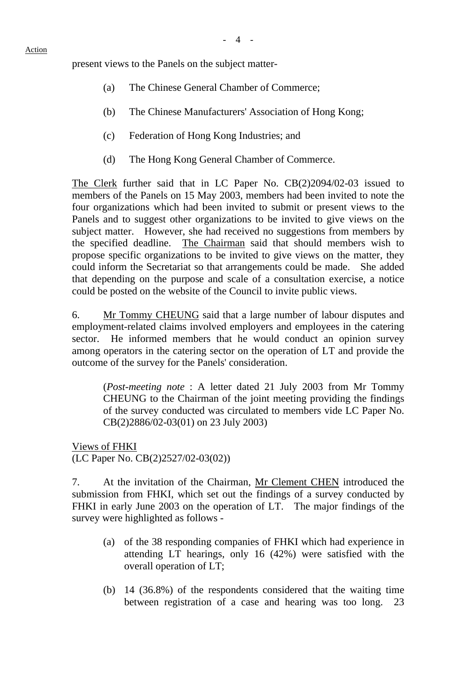present views to the Panels on the subject matter-

- (a) The Chinese General Chamber of Commerce;
- (b) The Chinese Manufacturers' Association of Hong Kong;
- (c) Federation of Hong Kong Industries; and
- (d) The Hong Kong General Chamber of Commerce.

The Clerk further said that in LC Paper No. CB(2)2094/02-03 issued to members of the Panels on 15 May 2003, members had been invited to note the four organizations which had been invited to submit or present views to the Panels and to suggest other organizations to be invited to give views on the subject matter. However, she had received no suggestions from members by the specified deadline. The Chairman said that should members wish to propose specific organizations to be invited to give views on the matter, they could inform the Secretariat so that arrangements could be made. She added that depending on the purpose and scale of a consultation exercise, a notice could be posted on the website of the Council to invite public views.

6. Mr Tommy CHEUNG said that a large number of labour disputes and employment-related claims involved employers and employees in the catering sector. He informed members that he would conduct an opinion survey among operators in the catering sector on the operation of LT and provide the outcome of the survey for the Panels' consideration.

 (*Post-meeting note* : A letter dated 21 July 2003 from Mr Tommy CHEUNG to the Chairman of the joint meeting providing the findings of the survey conducted was circulated to members vide LC Paper No. CB(2)2886/02-03(01) on 23 July 2003)

Views of FHKI (LC Paper No. CB(2)2527/02-03(02))

7. At the invitation of the Chairman, Mr Clement CHEN introduced the submission from FHKI, which set out the findings of a survey conducted by FHKI in early June 2003 on the operation of LT. The major findings of the survey were highlighted as follows -

- (a) of the 38 responding companies of FHKI which had experience in attending LT hearings, only 16 (42%) were satisfied with the overall operation of LT;
- (b) 14 (36.8%) of the respondents considered that the waiting time between registration of a case and hearing was too long. 23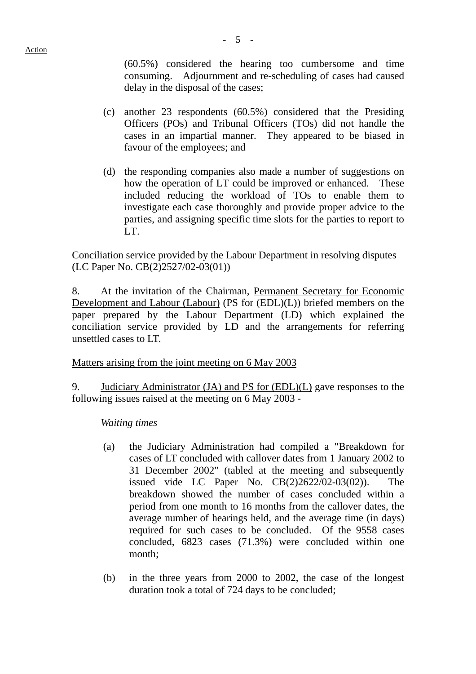$-5 -$ 

(60.5%) considered the hearing too cumbersome and time consuming. Adjournment and re-scheduling of cases had caused delay in the disposal of the cases;

- (c) another 23 respondents (60.5%) considered that the Presiding Officers (POs) and Tribunal Officers (TOs) did not handle the cases in an impartial manner. They appeared to be biased in favour of the employees; and
- (d) the responding companies also made a number of suggestions on how the operation of LT could be improved or enhanced. These included reducing the workload of TOs to enable them to investigate each case thoroughly and provide proper advice to the parties, and assigning specific time slots for the parties to report to LT.

# Conciliation service provided by the Labour Department in resolving disputes (LC Paper No. CB(2)2527/02-03(01))

8. At the invitation of the Chairman, Permanent Secretary for Economic Development and Labour (Labour) (PS for (EDL)(L)) briefed members on the paper prepared by the Labour Department (LD) which explained the conciliation service provided by LD and the arrangements for referring unsettled cases to LT.

# Matters arising from the joint meeting on 6 May 2003

9. Judiciary Administrator (JA) and PS for (EDL)(L) gave responses to the following issues raised at the meeting on 6 May 2003 -

*Waiting times* 

- (a) the Judiciary Administration had compiled a "Breakdown for cases of LT concluded with callover dates from 1 January 2002 to 31 December 2002" (tabled at the meeting and subsequently issued vide LC Paper No. CB(2)2622/02-03(02)). The breakdown showed the number of cases concluded within a period from one month to 16 months from the callover dates, the average number of hearings held, and the average time (in days) required for such cases to be concluded. Of the 9558 cases concluded, 6823 cases (71.3%) were concluded within one month;
- (b) in the three years from 2000 to 2002, the case of the longest duration took a total of 724 days to be concluded;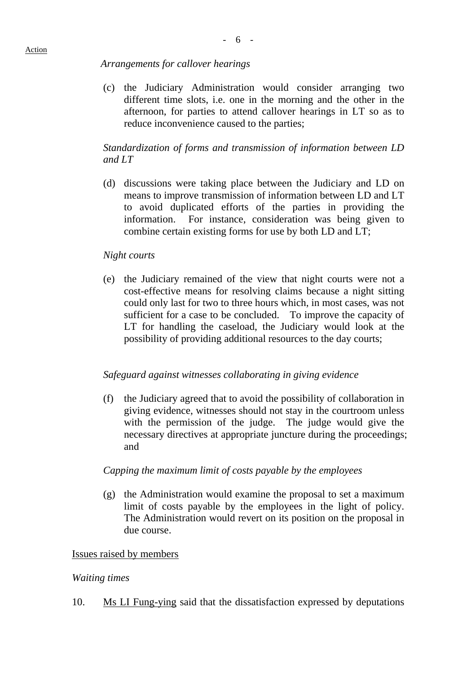#### *Arrangements for callover hearings*

(c) the Judiciary Administration would consider arranging two different time slots, i.e. one in the morning and the other in the afternoon, for parties to attend callover hearings in LT so as to reduce inconvenience caused to the parties;

# *Standardization of forms and transmission of information between LD and LT*

 (d) discussions were taking place between the Judiciary and LD on means to improve transmission of information between LD and LT to avoid duplicated efforts of the parties in providing the information. For instance, consideration was being given to combine certain existing forms for use by both LD and LT;

#### *Night courts*

 (e) the Judiciary remained of the view that night courts were not a cost-effective means for resolving claims because a night sitting could only last for two to three hours which, in most cases, was not sufficient for a case to be concluded. To improve the capacity of LT for handling the caseload, the Judiciary would look at the possibility of providing additional resources to the day courts;

#### *Safeguard against witnesses collaborating in giving evidence*

 (f) the Judiciary agreed that to avoid the possibility of collaboration in giving evidence, witnesses should not stay in the courtroom unless with the permission of the judge. The judge would give the necessary directives at appropriate juncture during the proceedings; and

#### *Capping the maximum limit of costs payable by the employees*

 (g) the Administration would examine the proposal to set a maximum limit of costs payable by the employees in the light of policy. The Administration would revert on its position on the proposal in due course.

#### Issues raised by members

#### *Waiting times*

10. Ms LI Fung-ying said that the dissatisfaction expressed by deputations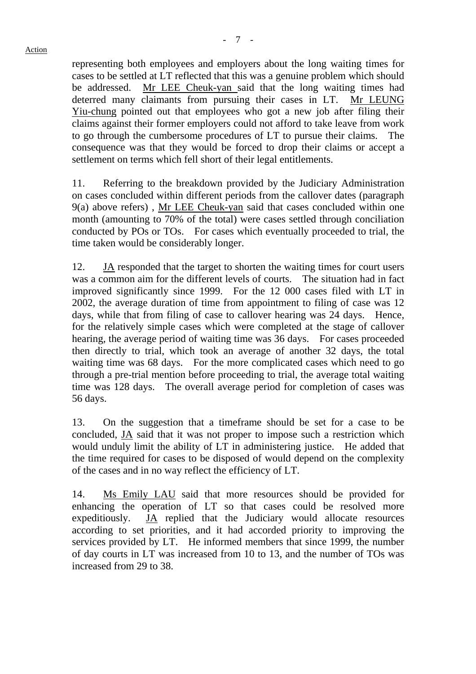representing both employees and employers about the long waiting times for cases to be settled at LT reflected that this was a genuine problem which should be addressed. Mr LEE Cheuk-yan said that the long waiting times had deterred many claimants from pursuing their cases in LT. Mr LEUNG Yiu-chung pointed out that employees who got a new job after filing their claims against their former employers could not afford to take leave from work to go through the cumbersome procedures of LT to pursue their claims. The consequence was that they would be forced to drop their claims or accept a settlement on terms which fell short of their legal entitlements.

11. Referring to the breakdown provided by the Judiciary Administration on cases concluded within different periods from the callover dates (paragraph 9(a) above refers) , Mr LEE Cheuk-yan said that cases concluded within one month (amounting to 70% of the total) were cases settled through conciliation conducted by POs or TOs. For cases which eventually proceeded to trial, the time taken would be considerably longer.

12. JA responded that the target to shorten the waiting times for court users was a common aim for the different levels of courts. The situation had in fact improved significantly since 1999. For the 12 000 cases filed with LT in 2002, the average duration of time from appointment to filing of case was 12 days, while that from filing of case to callover hearing was 24 days. Hence, for the relatively simple cases which were completed at the stage of callover hearing, the average period of waiting time was 36 days. For cases proceeded then directly to trial, which took an average of another 32 days, the total waiting time was 68 days. For the more complicated cases which need to go through a pre-trial mention before proceeding to trial, the average total waiting time was 128 days. The overall average period for completion of cases was 56 days.

13. On the suggestion that a timeframe should be set for a case to be concluded, JA said that it was not proper to impose such a restriction which would unduly limit the ability of LT in administering justice.He added that the time required for cases to be disposed of would depend on the complexity of the cases and in no way reflect the efficiency of LT.

14. Ms Emily LAU said that more resources should be provided for enhancing the operation of LT so that cases could be resolved more expeditiously. JA replied that the Judiciary would allocate resources according to set priorities, and it had accorded priority to improving the services provided by LT. He informed members that since 1999, the number of day courts in LT was increased from 10 to 13, and the number of TOs was increased from 29 to 38.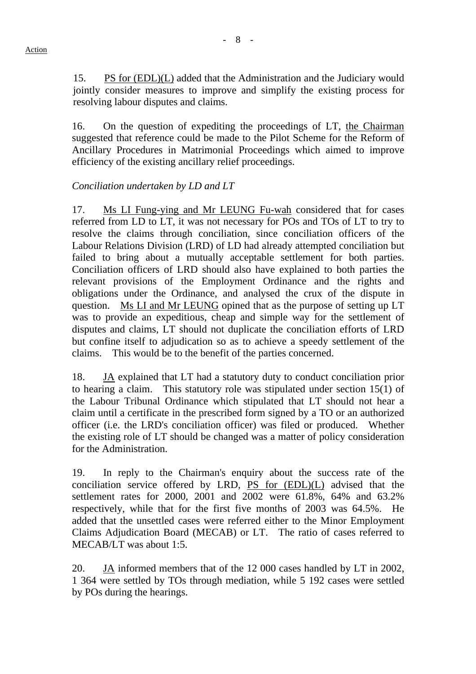15. PS for (EDL)(L) added that the Administration and the Judiciary would jointly consider measures to improve and simplify the existing process for resolving labour disputes and claims.

16. On the question of expediting the proceedings of LT, the Chairman suggested that reference could be made to the Pilot Scheme for the Reform of Ancillary Procedures in Matrimonial Proceedings which aimed to improve efficiency of the existing ancillary relief proceedings.

### *Conciliation undertaken by LD and LT*

17. Ms LI Fung-ying and Mr LEUNG Fu-wah considered that for cases referred from LD to LT, it was not necessary for POs and TOs of LT to try to resolve the claims through conciliation, since conciliation officers of the Labour Relations Division (LRD) of LD had already attempted conciliation but failed to bring about a mutually acceptable settlement for both parties. Conciliation officers of LRD should also have explained to both parties the relevant provisions of the Employment Ordinance and the rights and obligations under the Ordinance, and analysed the crux of the dispute in question. Ms LI and Mr LEUNG opined that as the purpose of setting up LT was to provide an expeditious, cheap and simple way for the settlement of disputes and claims, LT should not duplicate the conciliation efforts of LRD but confine itself to adjudication so as to achieve a speedy settlement of the claims. This would be to the benefit of the parties concerned.

18. JA explained that LT had a statutory duty to conduct conciliation prior to hearing a claim. This statutory role was stipulated under section 15(1) of the Labour Tribunal Ordinance which stipulated that LT should not hear a claim until a certificate in the prescribed form signed by a TO or an authorized officer (i.e. the LRD's conciliation officer) was filed or produced. Whether the existing role of LT should be changed was a matter of policy consideration for the Administration.

19. In reply to the Chairman's enquiry about the success rate of the conciliation service offered by LRD,  $PS$  for  $(EDL)(L)$  advised that the settlement rates for 2000, 2001 and 2002 were 61.8%, 64% and 63.2% respectively, while that for the first five months of 2003 was 64.5%. He added that the unsettled cases were referred either to the Minor Employment Claims Adjudication Board (MECAB) or LT. The ratio of cases referred to MECAB/LT was about 1:5.

20. JA informed members that of the 12 000 cases handled by LT in 2002, 1 364 were settled by TOs through mediation, while 5 192 cases were settled by POs during the hearings.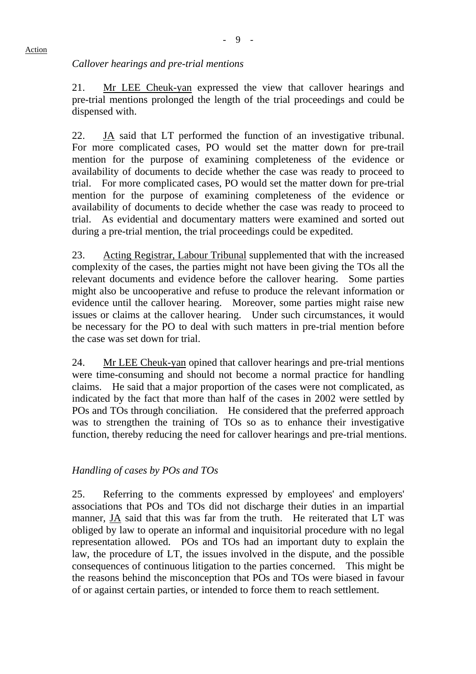# *Callover hearings and pre-trial mentions*

21. Mr LEE Cheuk-yan expressed the view that callover hearings and pre-trial mentions prolonged the length of the trial proceedings and could be dispensed with.

22. JA said that LT performed the function of an investigative tribunal. For more complicated cases, PO would set the matter down for pre-trail mention for the purpose of examining completeness of the evidence or availability of documents to decide whether the case was ready to proceed to trial. For more complicated cases, PO would set the matter down for pre-trial mention for the purpose of examining completeness of the evidence or availability of documents to decide whether the case was ready to proceed to trial. As evidential and documentary matters were examined and sorted out during a pre-trial mention, the trial proceedings could be expedited.

23. Acting Registrar, Labour Tribunal supplemented that with the increased complexity of the cases, the parties might not have been giving the TOs all the relevant documents and evidence before the callover hearing. Some parties might also be uncooperative and refuse to produce the relevant information or evidence until the callover hearing. Moreover, some parties might raise new issues or claims at the callover hearing. Under such circumstances, it would be necessary for the PO to deal with such matters in pre-trial mention before the case was set down for trial.

24. Mr LEE Cheuk-yan opined that callover hearings and pre-trial mentions were time-consuming and should not become a normal practice for handling claims. He said that a major proportion of the cases were not complicated, as indicated by the fact that more than half of the cases in 2002 were settled by POs and TOs through conciliation. He considered that the preferred approach was to strengthen the training of TOs so as to enhance their investigative function, thereby reducing the need for callover hearings and pre-trial mentions.

# *Handling of cases by POs and TOs*

25. Referring to the comments expressed by employees' and employers' associations that POs and TOs did not discharge their duties in an impartial manner, JA said that this was far from the truth. He reiterated that LT was obliged by law to operate an informal and inquisitorial procedure with no legal representation allowed. POs and TOs had an important duty to explain the law, the procedure of LT, the issues involved in the dispute, and the possible consequences of continuous litigation to the parties concerned. This might be the reasons behind the misconception that POs and TOs were biased in favour of or against certain parties, or intended to force them to reach settlement.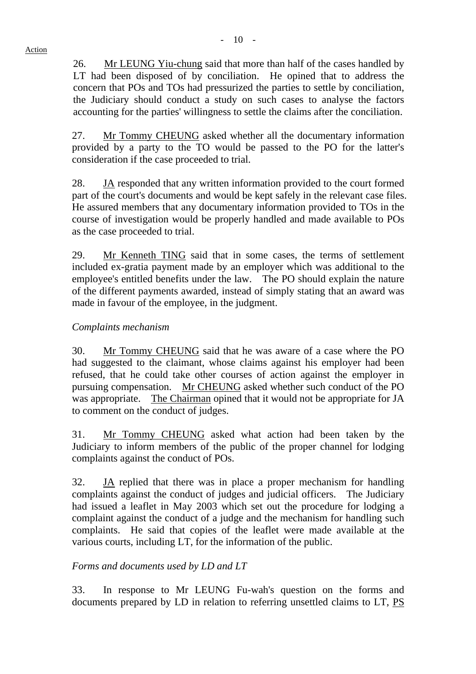26. Mr LEUNG Yiu-chung said that more than half of the cases handled by LT had been disposed of by conciliation. He opined that to address the concern that POs and TOs had pressurized the parties to settle by conciliation, the Judiciary should conduct a study on such cases to analyse the factors accounting for the parties' willingness to settle the claims after the conciliation.

27. Mr Tommy CHEUNG asked whether all the documentary information provided by a party to the TO would be passed to the PO for the latter's consideration if the case proceeded to trial.

28. JA responded that any written information provided to the court formed part of the court's documents and would be kept safely in the relevant case files. He assured members that any documentary information provided to TOs in the course of investigation would be properly handled and made available to POs as the case proceeded to trial.

29. Mr Kenneth TING said that in some cases, the terms of settlement included ex-gratia payment made by an employer which was additional to the employee's entitled benefits under the law. The PO should explain the nature of the different payments awarded, instead of simply stating that an award was made in favour of the employee, in the judgment.

# *Complaints mechanism*

30. Mr Tommy CHEUNG said that he was aware of a case where the PO had suggested to the claimant, whose claims against his employer had been refused, that he could take other courses of action against the employer in pursuing compensation. Mr CHEUNG asked whether such conduct of the PO was appropriate. The Chairman opined that it would not be appropriate for JA to comment on the conduct of judges.

31. Mr Tommy CHEUNG asked what action had been taken by the Judiciary to inform members of the public of the proper channel for lodging complaints against the conduct of POs.

32. JA replied that there was in place a proper mechanism for handling complaints against the conduct of judges and judicial officers. The Judiciary had issued a leaflet in May 2003 which set out the procedure for lodging a complaint against the conduct of a judge and the mechanism for handling such complaints. He said that copies of the leaflet were made available at the various courts, including LT, for the information of the public.

# *Forms and documents used by LD and LT*

33. In response to Mr LEUNG Fu-wah's question on the forms and documents prepared by LD in relation to referring unsettled claims to LT, PS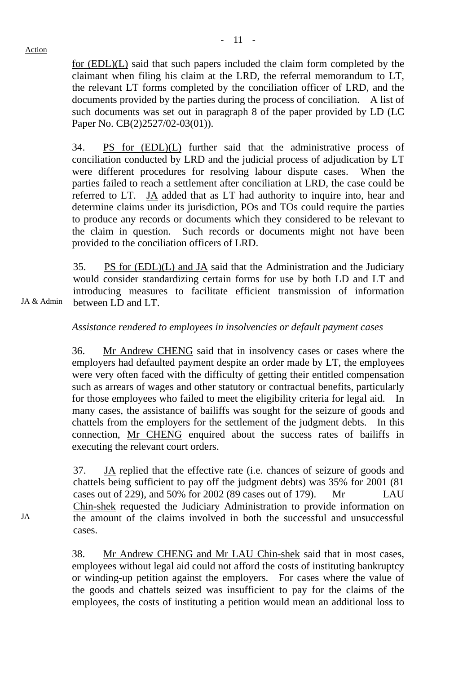JA & Admin

for (EDL)(L) said that such papers included the claim form completed by the claimant when filing his claim at the LRD, the referral memorandum to LT, the relevant LT forms completed by the conciliation officer of LRD, and the documents provided by the parties during the process of conciliation. A list of such documents was set out in paragraph 8 of the paper provided by LD (LC Paper No. CB(2)2527/02-03(01)).

34. PS for (EDL)(L) further said that the administrative process of conciliation conducted by LRD and the judicial process of adjudication by LT were different procedures for resolving labour dispute cases. When the parties failed to reach a settlement after conciliation at LRD, the case could be referred to LT. JA added that as LT had authority to inquire into, hear and determine claims under its jurisdiction, POs and TOs could require the parties to produce any records or documents which they considered to be relevant to the claim in question. Such records or documents might not have been provided to the conciliation officers of LRD.

35. PS for (EDL)(L) and JA said that the Administration and the Judiciary would consider standardizing certain forms for use by both LD and LT and introducing measures to facilitate efficient transmission of information between LD and LT.

*Assistance rendered to employees in insolvencies or default payment cases*

36. Mr Andrew CHENG said that in insolvency cases or cases where the employers had defaulted payment despite an order made by LT, the employees were very often faced with the difficulty of getting their entitled compensation such as arrears of wages and other statutory or contractual benefits, particularly for those employees who failed to meet the eligibility criteria for legal aid. In many cases, the assistance of bailiffs was sought for the seizure of goods and chattels from the employers for the settlement of the judgment debts. In this connection, Mr CHENG enquired about the success rates of bailiffs in executing the relevant court orders.

37. JA replied that the effective rate (i.e. chances of seizure of goods and chattels being sufficient to pay off the judgment debts) was 35% for 2001 (81 cases out of 229), and 50% for 2002 (89 cases out of 179). Mr LAU Chin-shek requested the Judiciary Administration to provide information on the amount of the claims involved in both the successful and unsuccessful cases.

38. Mr Andrew CHENG and Mr LAU Chin-shek said that in most cases, employees without legal aid could not afford the costs of instituting bankruptcy or winding-up petition against the employers. For cases where the value of the goods and chattels seized was insufficient to pay for the claims of the employees, the costs of instituting a petition would mean an additional loss to

JA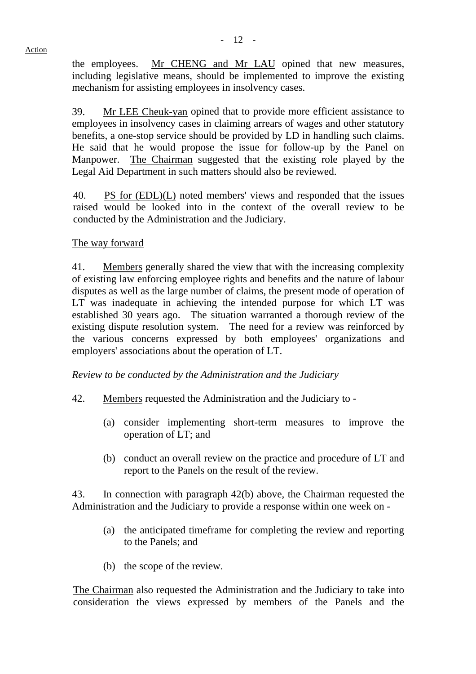the employees. Mr CHENG and Mr LAU opined that new measures, including legislative means, should be implemented to improve the existing mechanism for assisting employees in insolvency cases.

39. Mr LEE Cheuk-yan opined that to provide more efficient assistance to employees in insolvency cases in claiming arrears of wages and other statutory benefits, a one-stop service should be provided by LD in handling such claims. He said that he would propose the issue for follow-up by the Panel on Manpower. The Chairman suggested that the existing role played by the Legal Aid Department in such matters should also be reviewed.

40. PS for (EDL)(L) noted members' views and responded that the issues raised would be looked into in the context of the overall review to be conducted by the Administration and the Judiciary.

# The way forward

41. Members generally shared the view that with the increasing complexity of existing law enforcing employee rights and benefits and the nature of labour disputes as well as the large number of claims, the present mode of operation of LT was inadequate in achieving the intended purpose for which LT was established 30 years ago. The situation warranted a thorough review of the existing dispute resolution system. The need for a review was reinforced by the various concerns expressed by both employees' organizations and employers' associations about the operation of LT.

*Review to be conducted by the Administration and the Judiciary* 

- 42. Members requested the Administration and the Judiciary to
	- (a) consider implementing short-term measures to improve the operation of LT; and
	- (b) conduct an overall review on the practice and procedure of LT and report to the Panels on the result of the review.

43. In connection with paragraph 42(b) above, the Chairman requested the Administration and the Judiciary to provide a response within one week on -

- (a) the anticipated timeframe for completing the review and reporting to the Panels; and
- (b) the scope of the review.

 The Chairman also requested the Administration and the Judiciary to take into consideration the views expressed by members of the Panels and the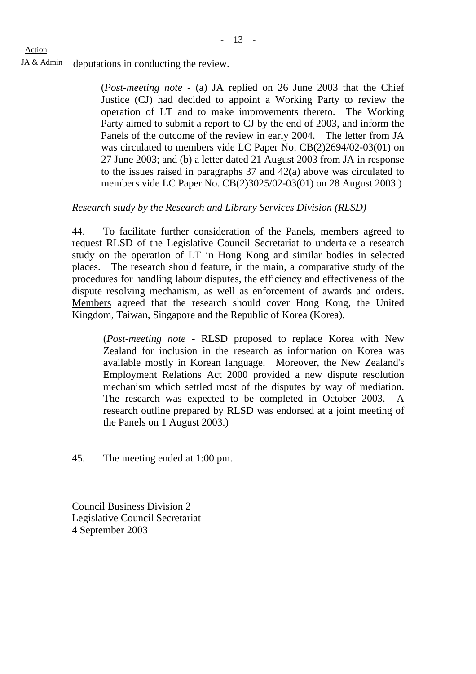Action

JA & Admin deputations in conducting the review.

(*Post-meeting note* - (a) JA replied on 26 June 2003 that the Chief Justice (CJ) had decided to appoint a Working Party to review the operation of LT and to make improvements thereto. The Working Party aimed to submit a report to CJ by the end of 2003, and inform the Panels of the outcome of the review in early 2004. The letter from JA was circulated to members vide LC Paper No. CB(2)2694/02-03(01) on 27 June 2003; and (b) a letter dated 21 August 2003 from JA in response to the issues raised in paragraphs 37 and 42(a) above was circulated to members vide LC Paper No. CB(2)3025/02-03(01) on 28 August 2003.)

# *Research study by the Research and Library Services Division (RLSD)*

44. To facilitate further consideration of the Panels, members agreed to request RLSD of the Legislative Council Secretariat to undertake a research study on the operation of LT in Hong Kong and similar bodies in selected places. The research should feature, in the main, a comparative study of the procedures for handling labour disputes, the efficiency and effectiveness of the dispute resolving mechanism, as well as enforcement of awards and orders. Members agreed that the research should cover Hong Kong, the United Kingdom, Taiwan, Singapore and the Republic of Korea (Korea).

 (*Post-meeting note* - RLSD proposed to replace Korea with New Zealand for inclusion in the research as information on Korea was available mostly in Korean language. Moreover, the New Zealand's Employment Relations Act 2000 provided a new dispute resolution mechanism which settled most of the disputes by way of mediation. The research was expected to be completed in October 2003. A research outline prepared by RLSD was endorsed at a joint meeting of the Panels on 1 August 2003.)

45. The meeting ended at 1:00 pm.

Council Business Division 2 Legislative Council Secretariat 4 September 2003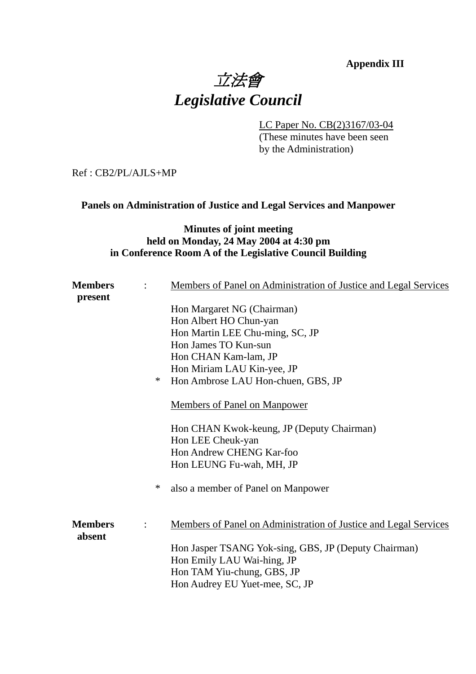# **Appendix III** 立法會 *Legislative Council*

LC Paper No. CB(2)3167/03-04

 (These minutes have been seen by the Administration)

Ref : CB2/PL/AJLS+MP

# **Panels on Administration of Justice and Legal Services and Manpower**

# **Minutes of joint meeting held on Monday, 24 May 2004 at 4:30 pm in Conference Room A of the Legislative Council Building**

| <b>Members</b>           |        | Members of Panel on Administration of Justice and Legal Services |
|--------------------------|--------|------------------------------------------------------------------|
| present                  |        | Hon Margaret NG (Chairman)                                       |
|                          |        | Hon Albert HO Chun-yan                                           |
|                          |        | Hon Martin LEE Chu-ming, SC, JP                                  |
|                          |        | Hon James TO Kun-sun                                             |
|                          |        | Hon CHAN Kam-lam, JP                                             |
|                          |        | Hon Miriam LAU Kin-yee, JP                                       |
|                          | $\ast$ | Hon Ambrose LAU Hon-chuen, GBS, JP                               |
|                          |        |                                                                  |
|                          |        | <b>Members of Panel on Manpower</b>                              |
|                          |        | Hon CHAN Kwok-keung, JP (Deputy Chairman)                        |
|                          |        | Hon LEE Cheuk-yan                                                |
|                          |        | Hon Andrew CHENG Kar-foo                                         |
|                          |        | Hon LEUNG Fu-wah, MH, JP                                         |
|                          | $\ast$ | also a member of Panel on Manpower                               |
| <b>Members</b><br>absent |        | Members of Panel on Administration of Justice and Legal Services |
|                          |        | Hon Jasper TSANG Yok-sing, GBS, JP (Deputy Chairman)             |
|                          |        | Hon Emily LAU Wai-hing, JP                                       |
|                          |        | Hon TAM Yiu-chung, GBS, JP                                       |
|                          |        | Hon Audrey EU Yuet-mee, SC, JP                                   |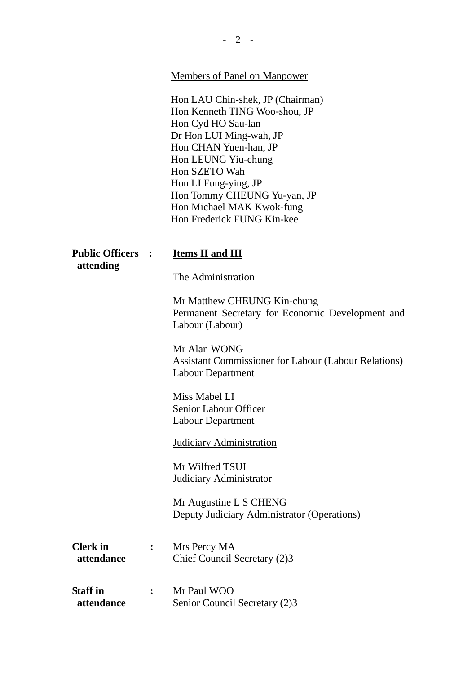Members of Panel on Manpower

Hon LAU Chin-shek, JP (Chairman) Hon Kenneth TING Woo-shou, JP Hon Cyd HO Sau-lan Dr Hon LUI Ming-wah, JP Hon CHAN Yuen-han, JP Hon LEUNG Yiu-chung Hon SZETO Wah Hon LI Fung-ying, JP Hon Tommy CHEUNG Yu-yan, JP Hon Michael MAK Kwok-fung Hon Frederick FUNG Kin-kee

| <b>Public Officers</b><br>attending | $\cdot$ :      | <b>Items II and III</b>                                                                                 |
|-------------------------------------|----------------|---------------------------------------------------------------------------------------------------------|
|                                     |                | The Administration                                                                                      |
|                                     |                | Mr Matthew CHEUNG Kin-chung<br>Permanent Secretary for Economic Development and<br>Labour (Labour)      |
|                                     |                | Mr Alan WONG<br><b>Assistant Commissioner for Labour (Labour Relations)</b><br><b>Labour Department</b> |
|                                     |                | Miss Mabel LI<br>Senior Labour Officer<br><b>Labour Department</b>                                      |
|                                     |                | <b>Judiciary Administration</b>                                                                         |
|                                     |                | Mr Wilfred TSUI<br>Judiciary Administrator                                                              |
|                                     |                | Mr Augustine L S CHENG<br>Deputy Judiciary Administrator (Operations)                                   |
| <b>Clerk</b> in<br>attendance       | $\ddot{\cdot}$ | Mrs Percy MA<br>Chief Council Secretary (2)3                                                            |
| <b>Staff</b> in<br>attendance       | $\ddot{\cdot}$ | Mr Paul WOO<br>Senior Council Secretary (2)3                                                            |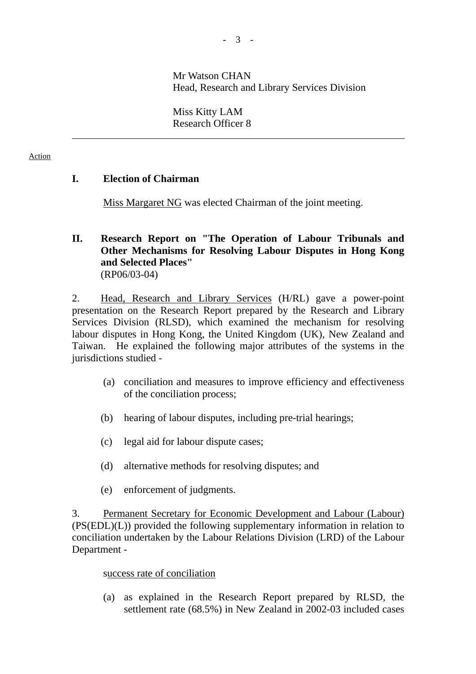# Mr Watson CHAN Head, Research and Library Services Division

 Miss Kitty LAM Research Officer 8

#### Action

l

# **I. Election of Chairman**

Miss Margaret NG was elected Chairman of the joint meeting.

# **II. Research Report on "The Operation of Labour Tribunals and Other Mechanisms for Resolving Labour Disputes in Hong Kong and Selected Places"**  (RP06/03-04)

2. Head, Research and Library Services (H/RL) gave a power-point presentation on the Research Report prepared by the Research and Library Services Division (RLSD), which examined the mechanism for resolving labour disputes in Hong Kong, the United Kingdom (UK), New Zealand and Taiwan. He explained the following major attributes of the systems in the jurisdictions studied -

- (a) conciliation and measures to improve efficiency and effectiveness of the conciliation process;
- (b) hearing of labour disputes, including pre-trial hearings;
- (c) legal aid for labour dispute cases;
- (d) alternative methods for resolving disputes; and
- (e) enforcement of judgments.

3. Permanent Secretary for Economic Development and Labour (Labour) (PS(EDL)(L)) provided the following supplementary information in relation to conciliation undertaken by the Labour Relations Division (LRD) of the Labour Department -

### success rate of conciliation

 (a) as explained in the Research Report prepared by RLSD, the settlement rate (68.5%) in New Zealand in 2002-03 included cases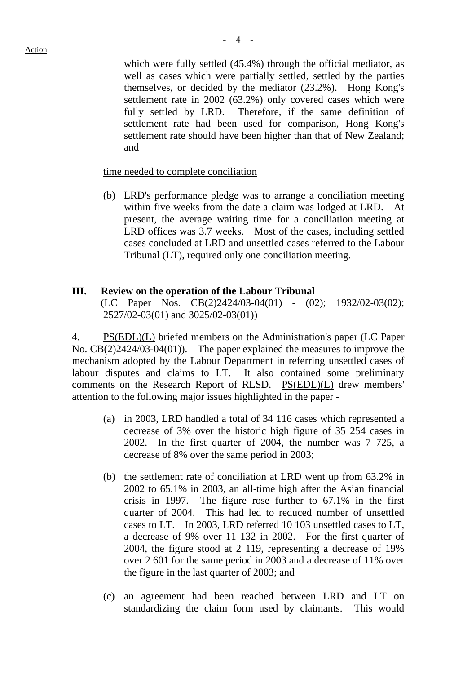which were fully settled (45.4%) through the official mediator, as well as cases which were partially settled, settled by the parties themselves, or decided by the mediator (23.2%). Hong Kong's settlement rate in 2002 (63.2%) only covered cases which were fully settled by LRD. Therefore, if the same definition of settlement rate had been used for comparison, Hong Kong's settlement rate should have been higher than that of New Zealand; and

#### time needed to complete conciliation

 (b) LRD's performance pledge was to arrange a conciliation meeting within five weeks from the date a claim was lodged at LRD. At present, the average waiting time for a conciliation meeting at LRD offices was 3.7 weeks. Most of the cases, including settled cases concluded at LRD and unsettled cases referred to the Labour Tribunal (LT), required only one conciliation meeting.

#### **III. Review on the operation of the Labour Tribunal**

(LC Paper Nos. CB(2)2424/03-04(01) - (02); 1932/02-03(02); 2527/02-03(01) and 3025/02-03(01))

4. PS(EDL)(L) briefed members on the Administration's paper (LC Paper No. CB(2)2424/03-04(01)). The paper explained the measures to improve the mechanism adopted by the Labour Department in referring unsettled cases of labour disputes and claims to LT. It also contained some preliminary comments on the Research Report of RLSD. PS(EDL)(L) drew members' attention to the following major issues highlighted in the paper -

- (a) in 2003, LRD handled a total of 34 116 cases which represented a decrease of 3% over the historic high figure of 35 254 cases in 2002. In the first quarter of 2004, the number was 7 725, a decrease of 8% over the same period in 2003;
- (b) the settlement rate of conciliation at LRD went up from 63.2% in 2002 to 65.1% in 2003, an all-time high after the Asian financial crisis in 1997. The figure rose further to 67.1% in the first quarter of 2004. This had led to reduced number of unsettled cases to LT. In 2003, LRD referred 10 103 unsettled cases to LT, a decrease of 9% over 11 132 in 2002. For the first quarter of 2004, the figure stood at 2 119, representing a decrease of 19% over 2 601 for the same period in 2003 and a decrease of 11% over the figure in the last quarter of 2003; and
- (c) an agreement had been reached between LRD and LT on standardizing the claim form used by claimants. This would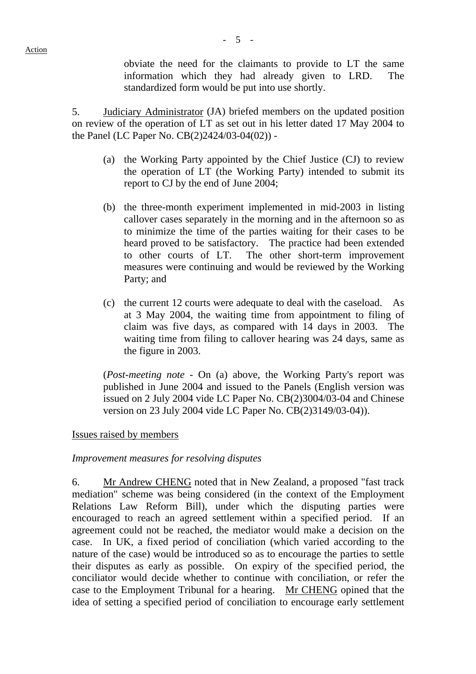obviate the need for the claimants to provide to LT the same information which they had already given to LRD. The standardized form would be put into use shortly.

5. Judiciary Administrator (JA) briefed members on the updated position on review of the operation of LT as set out in his letter dated 17 May 2004 to the Panel (LC Paper No. CB(2)2424/03-04(02)) -

- (a) the Working Party appointed by the Chief Justice (CJ) to review the operation of LT (the Working Party) intended to submit its report to CJ by the end of June 2004;
- (b) the three-month experiment implemented in mid-2003 in listing callover cases separately in the morning and in the afternoon so as to minimize the time of the parties waiting for their cases to be heard proved to be satisfactory. The practice had been extended to other courts of LT. The other short-term improvement measures were continuing and would be reviewed by the Working Party; and
- (c) the current 12 courts were adequate to deal with the caseload. As at 3 May 2004, the waiting time from appointment to filing of claim was five days, as compared with 14 days in 2003. The waiting time from filing to callover hearing was 24 days, same as the figure in 2003.

 (*Post-meeting note* - On (a) above, the Working Party's report was published in June 2004 and issued to the Panels (English version was issued on 2 July 2004 vide LC Paper No. CB(2)3004/03-04 and Chinese version on 23 July 2004 vide LC Paper No. CB(2)3149/03-04)).

#### Issues raised by members

#### *Improvement measures for resolving disputes*

6. Mr Andrew CHENG noted that in New Zealand, a proposed "fast track mediation" scheme was being considered (in the context of the Employment Relations Law Reform Bill), under which the disputing parties were encouraged to reach an agreed settlement within a specified period. If an agreement could not be reached, the mediator would make a decision on the case. In UK, a fixed period of conciliation (which varied according to the nature of the case) would be introduced so as to encourage the parties to settle their disputes as early as possible. On expiry of the specified period, the conciliator would decide whether to continue with conciliation, or refer the case to the Employment Tribunal for a hearing. Mr CHENG opined that the idea of setting a specified period of conciliation to encourage early settlement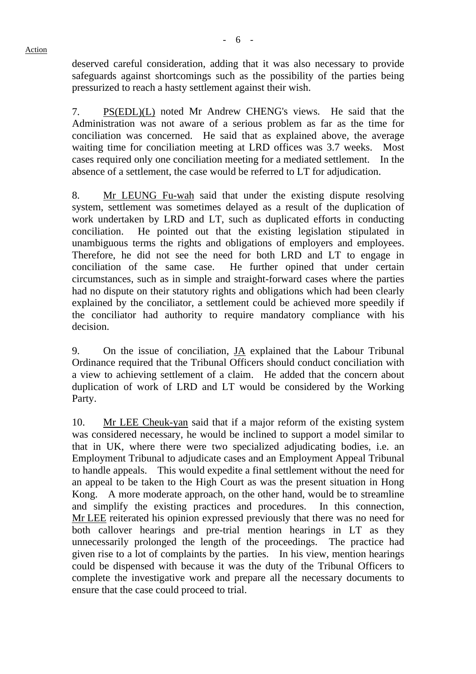Action

deserved careful consideration, adding that it was also necessary to provide safeguards against shortcomings such as the possibility of the parties being pressurized to reach a hasty settlement against their wish.

7. PS(EDL)(L) noted Mr Andrew CHENG's views. He said that the Administration was not aware of a serious problem as far as the time for conciliation was concerned. He said that as explained above, the average waiting time for conciliation meeting at LRD offices was 3.7 weeks. Most cases required only one conciliation meeting for a mediated settlement. In the absence of a settlement, the case would be referred to LT for adjudication.

8. Mr LEUNG Fu-wah said that under the existing dispute resolving system, settlement was sometimes delayed as a result of the duplication of work undertaken by LRD and LT, such as duplicated efforts in conducting conciliation. He pointed out that the existing legislation stipulated in unambiguous terms the rights and obligations of employers and employees. Therefore, he did not see the need for both LRD and LT to engage in conciliation of the same case. He further opined that under certain circumstances, such as in simple and straight-forward cases where the parties had no dispute on their statutory rights and obligations which had been clearly explained by the conciliator, a settlement could be achieved more speedily if the conciliator had authority to require mandatory compliance with his decision.

9. On the issue of conciliation, JA explained that the Labour Tribunal Ordinance required that the Tribunal Officers should conduct conciliation with a view to achieving settlement of a claim. He added that the concern about duplication of work of LRD and LT would be considered by the Working Party.

10. Mr LEE Cheuk-yan said that if a major reform of the existing system was considered necessary, he would be inclined to support a model similar to that in UK, where there were two specialized adjudicating bodies, i.e. an Employment Tribunal to adjudicate cases and an Employment Appeal Tribunal to handle appeals. This would expedite a final settlement without the need for an appeal to be taken to the High Court as was the present situation in Hong Kong. A more moderate approach, on the other hand, would be to streamline and simplify the existing practices and procedures. In this connection, Mr LEE reiterated his opinion expressed previously that there was no need for both callover hearings and pre-trial mention hearings in LT as they unnecessarily prolonged the length of the proceedings. The practice had given rise to a lot of complaints by the parties. In his view, mention hearings could be dispensed with because it was the duty of the Tribunal Officers to complete the investigative work and prepare all the necessary documents to ensure that the case could proceed to trial.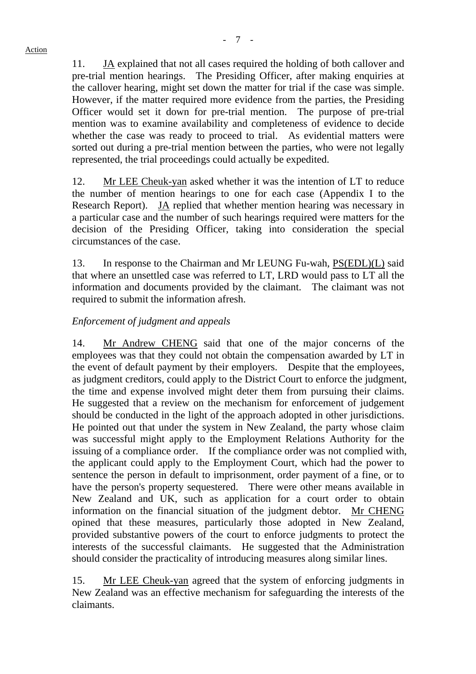11. JA explained that not all cases required the holding of both callover and pre-trial mention hearings. The Presiding Officer, after making enquiries at the callover hearing, might set down the matter for trial if the case was simple. However, if the matter required more evidence from the parties, the Presiding Officer would set it down for pre-trial mention. The purpose of pre-trial mention was to examine availability and completeness of evidence to decide whether the case was ready to proceed to trial. As evidential matters were sorted out during a pre-trial mention between the parties, who were not legally represented, the trial proceedings could actually be expedited.

12. Mr LEE Cheuk-yan asked whether it was the intention of LT to reduce the number of mention hearings to one for each case (Appendix I to the Research Report). JA replied that whether mention hearing was necessary in a particular case and the number of such hearings required were matters for the decision of the Presiding Officer, taking into consideration the special circumstances of the case.

13. In response to the Chairman and Mr LEUNG Fu-wah, PS(EDL)(L) said that where an unsettled case was referred to LT, LRD would pass to LT all the information and documents provided by the claimant. The claimant was not required to submit the information afresh.

# *Enforcement of judgment and appeals*

14. Mr Andrew CHENG said that one of the major concerns of the employees was that they could not obtain the compensation awarded by LT in the event of default payment by their employers. Despite that the employees, as judgment creditors, could apply to the District Court to enforce the judgment, the time and expense involved might deter them from pursuing their claims. He suggested that a review on the mechanism for enforcement of judgement should be conducted in the light of the approach adopted in other jurisdictions. He pointed out that under the system in New Zealand, the party whose claim was successful might apply to the Employment Relations Authority for the issuing of a compliance order. If the compliance order was not complied with, the applicant could apply to the Employment Court, which had the power to sentence the person in default to imprisonment, order payment of a fine, or to have the person's property sequestered. There were other means available in New Zealand and UK, such as application for a court order to obtain information on the financial situation of the judgment debtor. Mr CHENG opined that these measures, particularly those adopted in New Zealand, provided substantive powers of the court to enforce judgments to protect the interests of the successful claimants. He suggested that the Administration should consider the practicality of introducing measures along similar lines.

15. Mr LEE Cheuk-yan agreed that the system of enforcing judgments in New Zealand was an effective mechanism for safeguarding the interests of the claimants.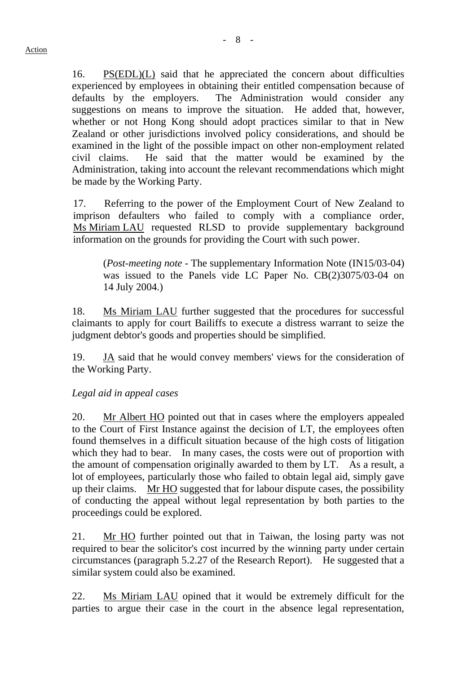16. PS(EDL)(L) said that he appreciated the concern about difficulties experienced by employees in obtaining their entitled compensation because of defaults by the employers. The Administration would consider any suggestions on means to improve the situation. He added that, however, whether or not Hong Kong should adopt practices similar to that in New Zealand or other jurisdictions involved policy considerations, and should be examined in the light of the possible impact on other non-employment related civil claims. He said that the matter would be examined by the Administration, taking into account the relevant recommendations which might be made by the Working Party.

17. Referring to the power of the Employment Court of New Zealand to imprison defaulters who failed to comply with a compliance order, Ms Miriam LAU requested RLSD to provide supplementary background information on the grounds for providing the Court with such power.

 (*Post-meeting note* - The supplementary Information Note (IN15/03-04) was issued to the Panels vide LC Paper No. CB(2)3075/03-04 on 14 July 2004.)

18. Ms Miriam LAU further suggested that the procedures for successful claimants to apply for court Bailiffs to execute a distress warrant to seize the judgment debtor's goods and properties should be simplified.

19. **JA** said that he would convey members' views for the consideration of the Working Party.

# *Legal aid in appeal cases*

20. Mr Albert HO pointed out that in cases where the employers appealed to the Court of First Instance against the decision of LT, the employees often found themselves in a difficult situation because of the high costs of litigation which they had to bear. In many cases, the costs were out of proportion with the amount of compensation originally awarded to them by LT. As a result, a lot of employees, particularly those who failed to obtain legal aid, simply gave up their claims. Mr HO suggested that for labour dispute cases, the possibility of conducting the appeal without legal representation by both parties to the proceedings could be explored.

21. Mr HO further pointed out that in Taiwan, the losing party was not required to bear the solicitor's cost incurred by the winning party under certain circumstances (paragraph 5.2.27 of the Research Report). He suggested that a similar system could also be examined.

22. Ms Miriam LAU opined that it would be extremely difficult for the parties to argue their case in the court in the absence legal representation,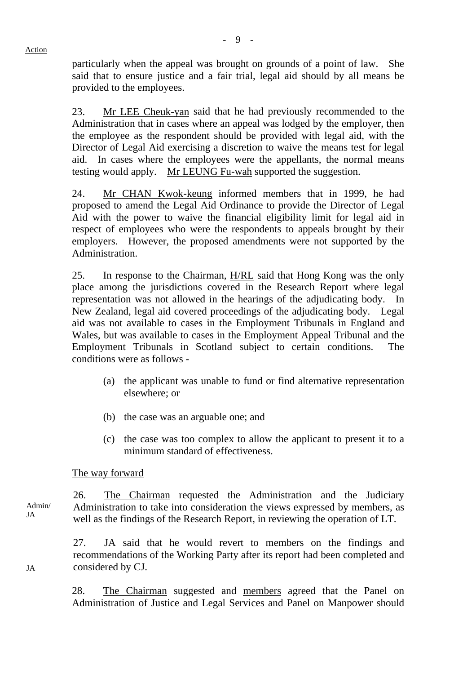particularly when the appeal was brought on grounds of a point of law. She said that to ensure justice and a fair trial, legal aid should by all means be provided to the employees.

23. Mr LEE Cheuk-yan said that he had previously recommended to the Administration that in cases where an appeal was lodged by the employer, then the employee as the respondent should be provided with legal aid, with the Director of Legal Aid exercising a discretion to waive the means test for legal aid. In cases where the employees were the appellants, the normal means testing would apply. Mr LEUNG Fu-wah supported the suggestion.

24. Mr CHAN Kwok-keung informed members that in 1999, he had proposed to amend the Legal Aid Ordinance to provide the Director of Legal Aid with the power to waive the financial eligibility limit for legal aid in respect of employees who were the respondents to appeals brought by their employers. However, the proposed amendments were not supported by the Administration.

25. In response to the Chairman, H/RL said that Hong Kong was the only place among the jurisdictions covered in the Research Report where legal representation was not allowed in the hearings of the adjudicating body. In New Zealand, legal aid covered proceedings of the adjudicating body. Legal aid was not available to cases in the Employment Tribunals in England and Wales, but was available to cases in the Employment Appeal Tribunal and the Employment Tribunals in Scotland subject to certain conditions. The conditions were as follows -

- (a) the applicant was unable to fund or find alternative representation elsewhere; or
- (b) the case was an arguable one; and
- (c) the case was too complex to allow the applicant to present it to a minimum standard of effectiveness.

#### The way forward

Admin/ 26. The Chairman requested the Administration and the Judiciary Administration to take into consideration the views expressed by members, as well as the findings of the Research Report, in reviewing the operation of LT.

> 27. JA said that he would revert to members on the findings and recommendations of the Working Party after its report had been completed and considered by CJ.

> 28. The Chairman suggested and members agreed that the Panel on Administration of Justice and Legal Services and Panel on Manpower should

JA

**ΙΔ**